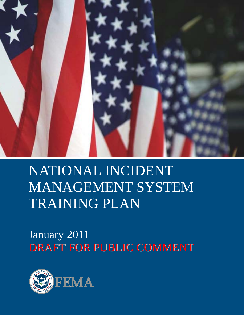

# NATIONAL INCIDENT MANAGEMENT SYSTEM TRAINING PLAN

January 2011 DRAFT FOR PUBLIC COMMENT

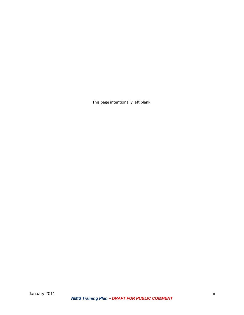This page intentionally left blank.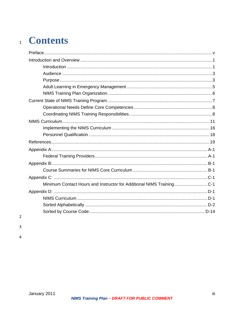## <sup>1</sup> Contents

 $\overline{3}$ 

 $\overline{2}$ 

 $\overline{4}$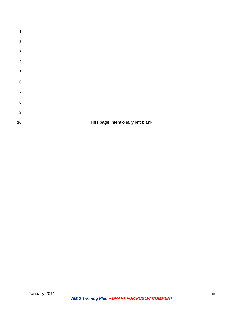| $\mathbf 1$    |                                     |
|----------------|-------------------------------------|
| $\overline{2}$ |                                     |
| 3              |                                     |
| 4              |                                     |
| 5              |                                     |
| 6              |                                     |
| $\overline{7}$ |                                     |
| 8              |                                     |
| 9              |                                     |
| 10             | This page intentionally left blank. |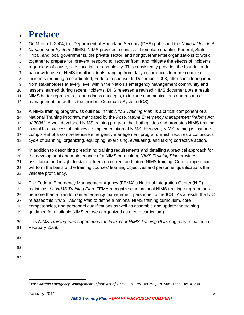## <span id="page-4-0"></span><sup>1</sup> **Preface**

- 2 On March 1, 2004, the Department of Homeland Security (DHS) published the *National Incident*
- 3 *Management System* (NIMS). NIMS provides a consistent template enabling Federal, State,
- 4 Tribal, and local governments, the private sector, and nongovernmental organizations to work
- 5 together to prepare for, prevent, respond to, recover from, and mitigate the effects of incidents
- 6 regardless of cause, size, location, or complexity. This consistency provides the foundation for
- 7 nationwide use of NIMS for all incidents, ranging from daily occurrences to more complex
- 8 incidents requiring a coordinated, Federal response. In December 2008, after considering input
- 9 from stakeholders at every level within the Nation's emergency management community and
- 10 lessons learned during recent incidents, DHS released a revised NIMS document. As a result,
- 11 NIMS better represents preparedness concepts, to include communications and resource
- 12 management, as well as the Incident Command System (ICS).
- 13 A NIMS training program, as outlined in this *NIMS Training Plan*, is a critical component of a
- 14 National Training Program, mandated by the *Post-Katrina Emergency Management Reform Act*
- 15 *of 2006[1](#page-4-1) .* A well-developed NIMS training program that both guides and promotes NIMS training
- 16 is vital to a successful nationwide implementation of NIMS. However, NIMS training is just one
- 17 component of a comprehensive emergency management program, which requires a continuous
- 18 cycle of planning, organizing, equipping, exercising, evaluating, and taking corrective action.
- 19 In addition to describing preexisting training requirements and detailing a practical approach for
- 20 the development and maintenance of a NIMS curriculum, *NIMS Training Plan* provides
- 21 assistance and insight to stakeholders on current and future NIMS training. Core competencies
- 22 will form the basis of the training courses' learning objectives and personnel qualifications that
- 23 validate proficiency.
- 24 The Federal Emergency Management Agency (FEMA)'s National Integration Center (NIC)
- 25 maintains the *NIMS Training Plan.* FEMA recognizes the national NIMS training program must
- 26 be more than a plan to train emergency management personnel to the ICS. As a result, the NIC
- 27 releases this *NIMS Training Plan* to define a national NIMS training curriculum, core
- 28 competencies, and personnel qualifications as well as assemble and update the training
- 29 guidance for available NIMS courses (organized as a core curriculum).
- 30 This *NIMS Training Plan* supersedes the *Five-Year NIMS Training Plan*, originally released in
- 31 February 2008.
- 32
- 33
- 
- 34

<span id="page-4-1"></span><sup>1</sup> *Post‐Katrina Emergency Management Reform Act of 2006.* Pub. Law 109‐295, 120 Stat. 1355, Oct. 4, 2001.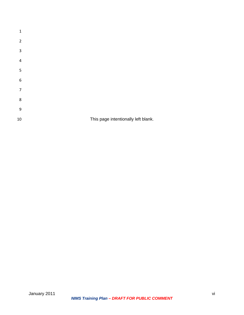| $\mathbf{1}$   |                                     |
|----------------|-------------------------------------|
| $\overline{2}$ |                                     |
| 3              |                                     |
| $\overline{4}$ |                                     |
| 5              |                                     |
| 6              |                                     |
| $\overline{7}$ |                                     |
| 8              |                                     |
| 9              |                                     |
| 10             | This page intentionally left blank. |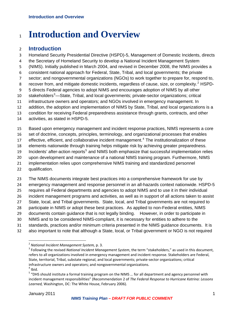#### <span id="page-6-0"></span>2 **Introduction**

3 4 5 6 7 8 9 10 11 12 13 14 15 Homeland Security Presidential Directive (HSPD)-5, Management of Domestic Incidents, directs the Secretary of Homeland Security to develop a National Incident Management System (NIMS). Initially published in March 2004, and revised in December 2008, the NIMS provides a consistent national approach for Federal, State, Tribal, and local governments; the private sector; and nongovernmental organizations (NGOs) to work together to prepare for, respond to, recover from, and mitigate domestic incidents, regardless of cause, size, or complexity.<sup>[2](#page-6-1)</sup> HSPD-5 directs Federal agencies to adopt NIMS and encourages adoption of NIMS by all other stakeholders<sup>[3](#page-6-2)</sup>—State, Tribal, and local governments; private-sector organizations; critical infrastructure owners and operators; and NGOs involved in emergency management. In addition, the adoption and implementation of NIMS by State, Tribal, and local organizations is a condition for receiving Federal preparedness assistance through grants, contracts, and other activities, as stated in HSPD-5. Based upon emergency management and incident response practices, NIMS represents a core

16 set of doctrine, concepts, principles, terminology, and organizational processes that enables

17 effective, efficient, and collaborative incident management.<sup>[4](#page-6-3)</sup> The institutionalization of these

18 elements nationwide through training helps mitigate risk by achieving greater preparedness.

19 Incidents' after-action reports<sup>[5](#page-6-4)</sup> and NIMS both emphasize that successful implementation relies

20 upon development and maintenance of a national NIMS training program. Furthermore, NIMS

21 implementation relies upon comprehensive NIMS training and standardized personnel

22 qualification.

23 The NIMS documents integrate best practices into a comprehensive framework for use by

24 emergency management and response personnel in an all-hazards context nationwide. HSPD-5

25 requires all Federal departments and agencies to adopt NIMS and to use it in their individual

26 incident management programs and activities, as well as in support of all actions taken to assist

27 State, local, and Tribal governments. State, local, and Tribal governments are not required to

- 28 participate in NIMS or adopt these best practices. As applied to non-Federal entities, NIMS
- 29 documents contain guidance that is not legally binding. However, in order to participate in

30 NIMS and to be considered NIMS-compliant, it is necessary for entities to adhere to the

31 standards, practices and/or minimum criteria presented in the NIMS guidance documents. It is

<span id="page-6-2"></span><span id="page-6-1"></span>32 also important to note that although a State, local, or Tribal government or NGO is not required

<sup>&</sup>lt;sup>2</sup> National Incident Management System, p. 3.<br><sup>3</sup> Following the revised National Incident Management System, the term "stakeholders," as used in this document, refers to all organizations involved in emergency management and incident response. Stakeholders are Federal, State, territorial, Tribal, substate regional, and local governments; private‐sector organizations; critical infrastructure owners and operators; and nongovernmental organizations.<br><sup>4</sup> Ibid.

<span id="page-6-3"></span>

<span id="page-6-4"></span><sup>5</sup> "DHS should institute a formal training program on the NIMS *…* for all department and agency personnel with incident management responsibilities" (Recommendation 2 of *The Federal Response to Hurricane Katrina: Lessons Learned,* Washington, DC: The White House, February 2006).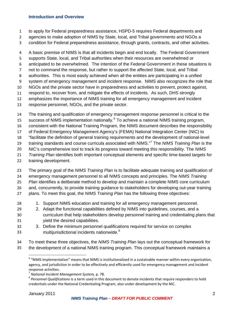- to apply for Federal preparedness assistance, HSPD-5 requires Federal departments and 1
- agencies to make adoption of NIMS by State, local, and Tribal governments and NGOs a 2
- condition for Federal preparedness assistance, through grants, contracts, and other activities. 3

4 5 6 7 A basic premise of NIMS is that all incidents begin and end locally. The Federal Government supports State, local, and Tribal authorities when their resources are overwhelmed or anticipated to be overwhelmed. The intention of the Federal Government in these situations is not to command the response, but rather to support the affected State, local, and Tribal

- 8 authorities. This is most easily achieved when all the entities are participating in a unified
- 9 system of emergency management and incident response. NIMS also recognizes the role that
- 10 NGOs and the private sector have in preparedness and activities to prevent, protect against,
- 11 respond to, recover from, and mitigate the effects of incidents. As such, DHS strongly
- 12 emphasizes the importance of NIMS training for all emergency management and incident
- 13 response personnel, NGOs, and the private sector.
- 14 The training and qualification of emergency management response personnel is critical to the
- 15 success of NIMS implementation nationally.<sup>[6](#page-7-0)</sup> To achieve a national NIMS training program,

16 consistent with the National Training Program, the NIMS document describes the responsibility

- 17 of Federal Emergency Management Agency's (FEMA) National Integration Center (NIC) to
- 18 "facilitate the definition of general training requirements and the development of national-level
- 19 training standards and course curricula associated with NIMS."[7](#page-7-1) The *NIMS Training Plan* is the
- 20 NIC's comprehensive tool to track its progress toward meeting this responsibility. The *NIMS*
- 21 *Training Plan* identifies both important conceptual elements and specific time-based targets for
- 22 training development.
- 23 The primary goal of the *NIMS Training Plan* is to facilitate adequate training and qualification of
- 24 emergency management personnel to all NIMS concepts and principles. The *NIMS Training*

25 *Plan* identifies a deliberate method to develop and maintain a complete NIMS core curriculum

- 26 and, concurrently, to provide training guidance to stakeholders for developing out-year training
- 27 plans. To meet this goal, the *NIMS Training Plan* has the following three objectives:
- 28 1. Support NIMS education and training for all emergency management personnel.
- 29 30 31 2. Adapt the functional capabilities defined by NIMS into guidelines, courses, and a curriculum that help stakeholders develop personnel training and credentialing plans that yield the desired capabilities.
- 32 33 3. Define the minimum personnel qualifications required for service on complex multijurisdictional incidents nationwide. $8$
- <span id="page-7-0"></span>34 35 To meet these three objectives, the *NIMS Training Plan* lays out the conceptual framework for the development of a national NIMS training program. This conceptual framework maintains a

 <sup>6</sup> "NIMS implementation" means that NIMS is institutionalized in a sustainable manner within every organization, agency, and jurisdiction in order to be effectively and efficiently used for emergency management and incident

<span id="page-7-2"></span>

<span id="page-7-1"></span>*T*<br><sup>7</sup> National Incident Management System, p. 78.<br><sup>8</sup> Personnel Qualifications is a term used in this document to denote incidents that require responders to hold credentials under the National Credentialing Program, also under development by the NIC.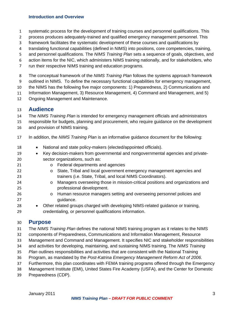- <span id="page-8-0"></span>systematic process for the development of training courses and personnel qualifications. This 1
- process produces adequately-trained and qualified emergency management personnel. This 2
- framework facilitates the systematic development of these courses and qualifications by 3
- translating functional capabilities (defined in NIMS) into positions, core competencies, training, 4
- and personnel qualifications. The *NIMS Training Plan* sets a sequence of goals, objectives, and 5
- action items for the NIC, which administers NIMS training nationally, and for stakeholders, who 6
- run their respective NIMS training and education programs. 7
- 8 The conceptual framework of the *NIMS Training Plan* follows the systems approach framework
- 9 outlined in NIMS. To define the necessary functional capabilities for emergency management,
- 10 the NIMS has the following five major components: 1) Preparedness, 2) Communications and
- 11 Information Management, 3) Resource Management, 4) Command and Management, and 5)
- 12 Ongoing Management and Maintenance.

#### 13 **Audience**

- 14 The *NIMS Training Plan* is intended for emergency management officials and administrators
- 15 responsible for budgets, planning and procurement, who require guidance on the development
- 16 and provision of NIMS training.
- 17 In addition, the *NIMS Training Plan* is an informative guidance document for the following:
- 18 • National and state policy-makers (elected/appointed officials).
- 19 20 • Key decision-makers from governmental and nongovernmental agencies and privatesector organizations, such as:
	- o Federal departments and agencies
- 22 23 o State, Tribal and local government emergency management agencies and trainers (i.e. State, Tribal, and local NIMS Coordinators).
- 24 25 o Managers overseeing those in mission-critical positions and organizations and professional development.
- 26 27 o Human resource managers setting and overseeing personnel policies and guidance.
- 28 29 • Other related groups charged with developing NIMS-related guidance or training, credentialing, or personnel qualifications information.

#### 30 **Purpose**

- 31 The *NIMS Training Plan* defines the national NIMS training program as it relates to the NIMS
- 32 components of Preparedness, Communications and Information Management, Resource
- 33 Management and Command and Management. It specifies NIC and stakeholder responsibilities
- 34 and activities for developing, maintaining, and sustaining NIMS training. The *NIMS Training*
- 35 *Plan* outlines responsibilities and activities that are consistent with the National Training
- 36 Program, as mandated by the *Post-Katrina Emergency Management Reform Act of 2006*.
- 37 Furthermore, this plan coordinates with FEMA training programs offered through the Emergency
- 38 Management Institute (EMI), United States Fire Academy (USFA), and the Center for Domestic
- 39 Preparedness (CDP).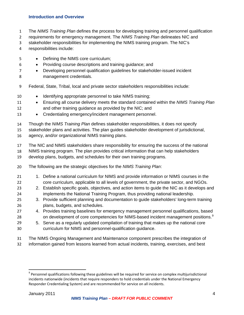- The *NIMS Training Plan* defines the process for developing training and personnel qualification 1
- requirements for emergency management. The *NIMS Training Plan* delineates NIC and 2
- stakeholder responsibilities for implementing the NIMS training program. The NIC's 3
- responsibilities include: 4
- 5 Defining the NIMS core curriculum;
- 6 Providing course descriptions and training guidance; and
- 7 Developing personnel qualification guidelines for stakeholder-issued incident
- 8 management credentials.
- 9 Federal, State, Tribal, local and private sector stakeholders responsibilities include:
- 10 • Identifying appropriate personnel to take NIMS training;
- 11 12 • Ensuring all course delivery meets the standard contained within the *NIMS Training Plan*  and other training guidance as provided by the NIC; and
- 13 • Credentialing emergency/incident management personnel.
- 14 Though the *NIMS Training Plan* defines stakeholder responsibilities, it does not specify
- 15 stakeholder plans and activities. The plan guides stakeholder development of jurisdictional,
- 16 agency, and/or organizational NIMS training plans.
- 17 The NIC and NIMS stakeholders share responsibility for ensuring the success of the national
- 18 19 NIMS training program. The plan provides critical information that can help stakeholders develop plans, budgets, and schedules for their own training programs.
- 20 The following are the strategic objectives for the *NIMS Training Plan*:
- 21 22 1. Define a national curriculum for NIMS and provide information or NIMS courses in the core curriculum, applicable to all levels of government, the private sector, and NGOs.
- 23 24 2. Establish specific goals, objectives, and action items to guide the NIC as it develops and implements the National Training Program, thus providing national leadership.
- 25 26 3. Provide sufficient planning and documentation to guide stakeholders' long-term training plans, budgets, and schedules.
- 27 28 4. Provides training baselines for emergency management personnel qualifications, based on development of core competencies for NIMS-based incident management positions. $9$
- 29 30 5. Serve as a regularly updated compilation of training that makes up the national core curriculum for NIMS and personnel-qualification guidance.
- 31 The NIMS Ongoing Management and Maintenance component prescribes the integration of
- 32 information gained from lessons learned from actual incidents, training, exercises, and best

<span id="page-9-0"></span><sup>&</sup>lt;sup>9</sup> Personnel qualifications following these guidelines will be required for service on complex multijurisdictional incidents nationwide (incidents that require responders to hold credentials under the National Emergency Responder Credentialing System) and are recommended for service on all incidents.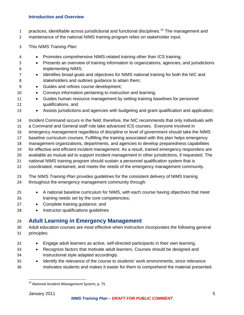- <span id="page-10-0"></span>practices, identifiable across jurisdictional and functional disciplines.<sup>[10](#page-10-1)</sup> The management and 1
- maintenance of the national NIMS training program relies on stakeholder input. 2
- 3 This *NIMS Training Plan*:
- 4 Promotes comprehensive NIMS-related training other than ICS training;
- 6 5 • Presents an overview of training information to organizations, agencies, and jurisdictions implementing NIMS;
- 8 7 • Identifies broad goals and objectives for NIMS national training for both the NIC and stakeholders and outlines guidance to attain them;
- 9 Guides and refines course development;
- 10 • Conveys information pertaining to instruction and learning;
- 11 12 • Guides human resource management by setting training baselines for personnel qualifications, and
- 13 • Assists jurisdictions and agencies with budgeting and grant qualification and application;
- 14 Incident Command occurs in the field; therefore, the NIC recommends that only individuals with
- 15 a Command and General staff role take advanced ICS courses. Everyone involved in
- 16 emergency management regardless of discipline or level of government should take the NIMS
- 17 baseline curriculum courses. Fulfilling the training associated with this plan helps emergency
- 18 management organizations, departments, and agencies to develop preparedness capabilities
- 19 for effective and efficient incident management. As a result, trained emergency responders are
- 20 available as mutual aid to support incident management in other jurisdictions, if requested. The
- 21 national NIMS training program should sustain a personnel qualification system that is
- 22 coordinated, maintained, and meets the needs of the emergency management community.
- 23 24 The *NIMS Training Plan* provides guidelines for the consistent delivery of NIMS training throughout the emergency management community through:
- 25 26 • A national baseline curriculum for NIMS, with each course having objectives that meet training needs set by the core competencies;
- 27 • Complete training guidance; and
- 28 • Instructor qualifications guidelines

#### 29 **Adult Learning in Emergency Management**

30 31 Adult education courses are most effective when instruction incorporates the following general principles:

- 32 • Engage adult learners as active, self-directed participants in their own learning.
- 33 34 • Recognize factors that motivate adult learners. Courses should be designed and instructional style adapted accordingly.
- <span id="page-10-1"></span>35 36 • Identify the relevance of the course to students' work environments, since relevance motivates students and makes it easier for them to comprehend the material presented.

 <sup>10</sup> *National Incident Management System*, p. 75.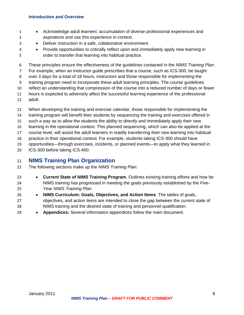- <span id="page-11-0"></span>2 1 • Acknowledge adult learners' accumulation of diverse professional experiences and aspirations and use this experience in context.
- 3 Deliver instruction in a safe, collaborative environment.

5 4 • Provide opportunities to critically reflect upon and immediately apply new learning in order to transfer that learning into habitual practice.

6 These principles ensure the effectiveness of the guidelines contained in the *NIMS Training Plan*.

7 For example, when an instructor guide prescribes that a course, such as ICS-300, be taught

8 over 3 days for a total of 18 hours, instructors and those responsible for implementing the

9 training program need to incorporate these adult learning principles. The course guidelines

10 reflect an understanding that compression of the course into a reduced number of days or fewer

- 11 12 hours is expected to adversely affect the successful learning experience of the professional adult.
- 13 When developing the training and exercise calendar, those responsible for implementing the
- 14 training program will benefit their students by sequencing the training and exercises offered in
- 15 such a way as to allow the students the ability to directly and immediately apply their new

16 learning in the operational context. This planned sequencing, which can also be applied at the

17 course level, will assist the adult learners in readily transferring their new learning into habitual

18 practice in their operational context. For example, students taking ICS-300 should have

19 opportunities—through exercises, incidents, or planned events—to apply what they learned in

20 ICS-300 before taking ICS-400.

#### 21 **NIMS Training Plan Organization**

22 The following sections make up the *NIMS Training Plan*:

- 23 24 25 • **Current State of NIMS Training Program**. Outlines existing training efforts and how far NIMS training has progressed in meeting the goals previously established by the *Five-Year NIMS Training Plan.*
- 26 27 28 • **NIMS Curriculum: Goals, Objectives, and Action Items***.* The tables of goals, objectives, and action items are intended to close the gap between the current state of NIMS training and the desired state of training and personnel qualification.
- 29 • **Appendices:** Several information appendices follow the main document.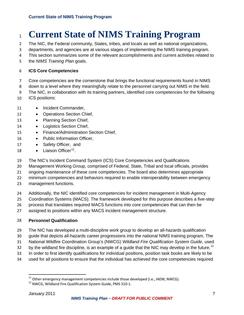<span id="page-12-0"></span>The NIC, the Federal community, States, tribes, and locals as well as national organizations, 2

departments, and agencies are at various stages of implementing the NIMS training program. 3

This section summarizes some of the relevant accomplishments and current activities related to 4

the *NIMS Training Plan* goals. 5

#### 6 **ICS Core Competencies**

7 Core competencies are the cornerstone that brings the functional requirements found in NIMS

8 down to a level where they meaningfully relate to the personnel carrying out NIMS in the field.

9 The NIC, in collaboration with its training partners, identified core competencies for the following ICS positions:

- 10
- 11 • Incident Commander,
- 12 • Operations Section Chief,
- 13 • Planning Section Chief,
- 14 • Logistics Section Chief,
- 15 • Finance/Administration Section Chief,
- 16 • Public Information Officer,
- 17 • Safety Officer, and
- 18 • Liaison Officer<sup>[11](#page-12-1)</sup>.
- 19 The NIC's Incident Command System (ICS) Core Competencies and Qualifications

20 Management Working Group, comprised of Federal, State, Tribal and local officials, provides

21 ongoing maintenance of these core competencies. The board also determines appropriate

22 minimum competencies and behaviors required to enable interoperability between emergency

- 23 management functions.
- 24 Additionally, the NIC identified core competencies for incident management in Multi-Agency
- 25 Coordination Systems (MACS). The framework developed for this purpose describes a five-step
- 26 process that translates required MACS functions into core competencies that can then be

27 assigned to positions within any MACS incident management structure.

#### 28 **Personnel Qualification**

- 29 The NIC has developed a multi-discipline work group to develop an all-hazards qualification
- 30 guide that depicts all-hazards career progressions into the national NIMS training program. The
- 31 National Wildfire Coordination Group's (NWCG) *Wildland Fire Qualification System Guide*, used
- 32 by the wildland fire discipline, is an example of a quide that the NIC may develop in the future.<sup>[12](#page-12-2)</sup>
- 33 In order to first identify qualifications for individual positions, position task books are likely to be
- <span id="page-12-1"></span>34 used for all positions to ensure that the individual has achieved the core competencies required

<sup>&</sup>lt;sup>11</sup> Other emergency management competencies include those developed (i.e., IAEM, NWCG).<br><sup>12</sup> NWCG, Wildland Fire Qualification System Guide, PMS 310-1.

<span id="page-12-2"></span>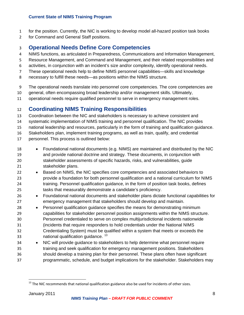- <span id="page-13-0"></span>for the position. Currently, the NIC is working to develop model all-hazard position task books 1
- for Command and General Staff positions. 2

#### 3 **Operational Needs Define Core Competencies**

- 4 NIMS functions, as articulated in Preparedness, Communications and Information Management,
- 5 Resource Management, and Command and Management, and their related responsibilities and
- 6 activities, in conjunction with an incident's size and/or complexity, identify operational needs.
- 7 These operational needs help to define NIMS personnel capabilities—skills and knowledge
- 8 necessary to fulfill these needs—as positions within the NIMS structure.
- 9 The operational needs translate into personnel core competencies. The core competencies are
- 10 general, often encompassing broad leadership and/or management skills. Ultimately,
- 11 operational needs require qualified personnel to serve in emergency management roles.

#### 12 **Coordinating NIMS Training Responsibilities**

- 13 Coordination between the NIC and stakeholders is necessary to achieve consistent and
- 14 systematic implementation of NIMS training and personnel qualification. The NIC provides

15 national leadership and resources, particularly in the form of training and qualification guidance.

16 Stakeholders plan, implement training programs, as well as train, qualify, and credential

- 17 personnel. This process is outlined below:
- 18 19 20 21 • Foundational national documents (e.g. NIMS) are maintained and distributed by the NIC and provide national doctrine and strategy. These documents, in conjunction with stakeholder assessments of specific hazards, risks, and vulnerabilities, guide stakeholder plans.
- 22 23 24 25 • Based on NIMS, the NIC specifies core competencies and associated behaviors to provide a foundation for both personnel qualification and a national curriculum for NIMS training. Personnel qualification guidance, in the form of position task books, defines tasks that measurably demonstrate a candidate's proficiency.
- 26 27 • Foundational national documents and stakeholder plans dictate functional capabilities for emergency management that stakeholders should develop and maintain.
- 28 29 30 31 32 • Personnel qualification guidance specifies the means for demonstrating minimum capabilities for stakeholder personnel position assignments within the NIMS structure. Personnel credentialed to serve on complex multijurisdictional incidents nationwide (incidents that require responders to hold credentials under the National NIMS Credentialing System) must be qualified within a system that meets or exceeds the
- 33 national qualification guidance.<sup>[13](#page-13-1)</sup>

34 35 36 37 • NIC will provide guidance to stakeholders to help determine what personnel require training and seek qualification for emergency management positions. Stakeholders should develop a training plan for their personnel. These plans often have significant programmatic, schedule, and budget implications for the stakeholder. Stakeholders may

<span id="page-13-1"></span> $13$  The NIC recommends that national qualification guidance also be used for incidents of other sizes.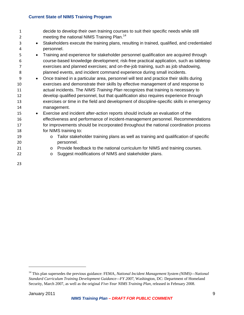| 1              |           | decide to develop their own training courses to suit their specific needs while still          |  |  |  |
|----------------|-----------|------------------------------------------------------------------------------------------------|--|--|--|
| $\overline{2}$ |           | meeting the national NIMS Training Plan. <sup>14</sup>                                         |  |  |  |
| 3              | $\bullet$ | Stakeholders execute the training plans, resulting in trained, qualified, and credentialed     |  |  |  |
| 4              |           | personnel.                                                                                     |  |  |  |
| 5              | $\bullet$ | Training and experience for stakeholder personnel qualification are acquired through           |  |  |  |
| 6              |           | course-based knowledge development; risk-free practical application, such as tabletop          |  |  |  |
| 7              |           | exercises and planned exercises; and on-the-job training, such as job shadowing,               |  |  |  |
| 8              |           | planned events, and incident command experience during small incidents.                        |  |  |  |
| 9              | $\bullet$ | Once trained in a particular area, personnel will test and practice their skills during        |  |  |  |
| 10             |           | exercises and demonstrate their skills by effective management of and response to              |  |  |  |
| 11             |           | actual incidents. The NIMS Training Plan recognizes that training is necessary to              |  |  |  |
| 12             |           | develop qualified personnel, but that qualification also requires experience through           |  |  |  |
| 13             |           | exercises or time in the field and development of discipline-specific skills in emergency      |  |  |  |
| 14             |           | management.                                                                                    |  |  |  |
| 15             | $\bullet$ | Exercise and incident after-action reports should include an evaluation of the                 |  |  |  |
| 16             |           | effectiveness and performance of incident-management personnel. Recommendations                |  |  |  |
| 17             |           | for improvements should be incorporated throughout the national coordination process           |  |  |  |
| 18             |           | for NIMS training to:                                                                          |  |  |  |
| 19             |           | Tailor stakeholder training plans as well as training and qualification of specific<br>$\circ$ |  |  |  |
| 20             |           | personnel.                                                                                     |  |  |  |
| 21             |           | Provide feedback to the national curriculum for NIMS and training courses.<br>$\circ$          |  |  |  |
| 22             |           | Suggest modifications of NIMS and stakeholder plans.<br>$\circ$                                |  |  |  |
| 23             |           |                                                                                                |  |  |  |

<sup>&</sup>lt;sup>14</sup> This plan supersedes the previous guidance: FEMA, *National Incident Management System (NIMS)—National Standard Curriculum Training Development Guidance—FY 2007,* Washington, DC: Department of Homeland Security, March 2007, as well as the original *Five-Year NIMS Training Plan,* released in February 2008.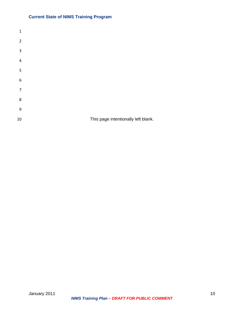| $\mathbf{1}$   |                                     |
|----------------|-------------------------------------|
| $\overline{2}$ |                                     |
| 3              |                                     |
| 4              |                                     |
| 5              |                                     |
| 6              |                                     |
| $\overline{7}$ |                                     |
| 8              |                                     |
| 9              |                                     |
| 10             | This page intentionally left blank. |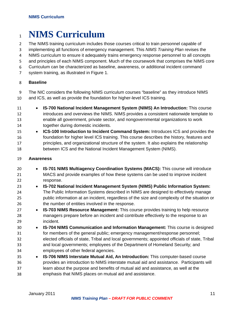- <span id="page-16-0"></span>2 The NIMS training curriculum includes those courses critical to train personnel capable of
- 3 implementing all functions of emergency management. This *NIMS Training Plan* revises the
- 4 NIMS curriculum to ensure it adequately trains emergency response personnel to all concepts
- 5 and principles of each NIMS component. Much of the coursework that comprises the NIMS core
- 6 Curriculum can be characterized as baseline, awareness, or additional incident command
- 7 system training, as illustrated in Figure 1.

#### 8 **Baseline**

9 10 The NIC considers the following NIMS curriculum courses "baseline" as they introduce NIMS and ICS, as well as provide the foundation for higher-level ICS training.

- 11 12 13 14 • **IS-700 National Incident Management System (NIMS) An Introduction:** This course introduces and overviews the NIMS. NIMS provides a consistent nationwide template to enable all government, private sector, and nongovernmental organizations to work together during domestic incidents.
- 15 16 17 18 • **ICS-100 Introduction to Incident Command System:** Introduces ICS and provides the foundation for higher level ICS training. This course describes the history, features and principles, and organizational structure of the system. It also explains the relationship between ICS and the National Incident Management System (NIMS).

#### 19 **Awareness**

- 20 21 22 • **IS-701 NIMS Multiagency Coordination Systems (MACS):** This course will introduce MACS and provide examples of how these systems can be used to improve incident response.
- 23 24 25 26 • **IS-702 National Incident Management System (NIMS) Public Information System:**  The Public Information Systems described in NIMS are designed to effectively manage public information at an incident, regardless of the size and complexity of the situation or the number of entities involved in the response.
- 27 28 29 • **IS-703 NIMS Resource Management:** This course provides training to help resource managers prepare before an incident and contribute effectively to the response to an incident.
- 30 31 32 33 34 • **IS-704 NIMS Communication and Information Management:** This course is designed for members of the general public; emergency management/response personnel; elected officials of state, Tribal and local governments; appointed officials of state, Tribal and local governments; employees of the Department of Homeland Security; and employees of other federal agencies.
- 35 36 37 38 • **IS-706 NIMS Interstate Mutual Aid, An Introduction:** This computer-based course provides an introduction to NIMS interstate mutual aid and assistance. Participants will learn about the purpose and benefits of mutual aid and assistance, as well at the emphasis that NIMS places on mutual aid and assistance.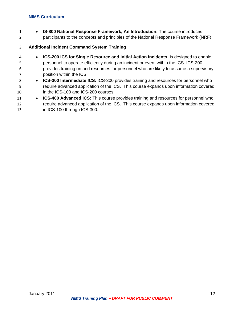1 • **IS-800 National Response Framework, An Introduction:** The course introduces 2 participants to the concepts and principles of the National Response Framework (NRF).

#### 3 **Additional Incident Command System Training**

- 5 6 7 4 • **ICS-200 ICS for Single Resource and Initial Action Incidents:** is designed to enable personnel to operate efficiently during an incident or event within the ICS. ICS-200 provides training on and resources for personnel who are likely to assume a supervisory position within the ICS.
- 9 10 8 • **ICS-300 Intermediate ICS:** ICS-300 provides training and resources for personnel who require advanced application of the ICS. This course expands upon information covered in the ICS-100 and ICS-200 courses.
- 11 12 13 • **ICS-400 Advanced ICS:** This course provides training and resources for personnel who require advanced application of the ICS. This course expands upon information covered in ICS-100 through ICS-300.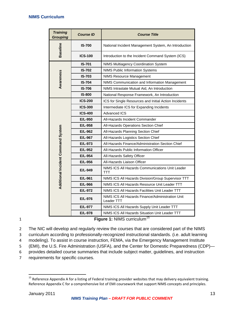| <b>Training</b><br><b>Grouping</b> | <b>Course ID</b> | <b>Course Title</b>                                            |  |  |  |
|------------------------------------|------------------|----------------------------------------------------------------|--|--|--|
| <b>Baseline</b>                    | <b>IS-700</b>    | National Incident Management System, An Introduction           |  |  |  |
|                                    | <b>ICS-100</b>   | Introduction to the Incident Command System (ICS)              |  |  |  |
|                                    | <b>IS-701</b>    | <b>NIMS Multiagency Coordination System</b>                    |  |  |  |
|                                    | <b>IS-702</b>    | <b>NIMS Public Information Systems</b>                         |  |  |  |
|                                    | <b>IS-703</b>    | <b>NIMS Resource Management</b>                                |  |  |  |
| Awareness                          | <b>IS-704</b>    | NIMS Communication and Information Management                  |  |  |  |
|                                    | <b>IS-706</b>    | NIMS Intrastate Mutual Aid, An Introduction                    |  |  |  |
|                                    | <b>IS-800</b>    | National Response Framework, An Introduction                   |  |  |  |
|                                    | <b>ICS-200</b>   | ICS for Single Resources and Initial Action Incidents          |  |  |  |
|                                    | <b>ICS-300</b>   | Intermediate ICS for Expanding Incidents                       |  |  |  |
|                                    | <b>ICS-400</b>   | <b>Advanced ICS</b>                                            |  |  |  |
|                                    | E/L-950          | All-Hazards Incident Commander                                 |  |  |  |
|                                    | <b>E/L-958</b>   | All-Hazards Operations Section Chief                           |  |  |  |
|                                    | <b>E/L-962</b>   | All-Hazards Planning Section Chief                             |  |  |  |
|                                    | <b>E/L-967</b>   | All-Hazards Logistics Section Chief                            |  |  |  |
|                                    | <b>E/L-973</b>   | All-Hazards Finance/Administration Section Chief               |  |  |  |
|                                    | <b>E/L-952</b>   | All-Hazards Public Information Officer                         |  |  |  |
|                                    | <b>E/L-954</b>   | All-Hazards Safety Officer                                     |  |  |  |
|                                    | E/L-956          | All-Hazards Liaison Officer                                    |  |  |  |
| Additional Incident Command System | E/L-949          | NIMS ICS All Hazards Communications Unit Leader<br><b>TTT</b>  |  |  |  |
|                                    | E/L-961          | NIMS ICS All Hazards Division/Group Supervisor TTT             |  |  |  |
|                                    | E/L-966          | NIMS ICS All Hazards Resource Unit Leader TTT                  |  |  |  |
|                                    | <b>E/L-972</b>   | NIMS ICS All Hazards Facilities Unit Leader TTT                |  |  |  |
|                                    | E/L-976          | NIMS ICS All Hazards Finance/Administration Unit<br>Leader TTT |  |  |  |
|                                    | E/L-977          | NIMS ICS All Hazards Supply Unit Leader TTT                    |  |  |  |
|                                    | <b>E/L-978</b>   | NIMS ICS All Hazards Situation Unit Leader TTT                 |  |  |  |

**Figure 1:** NIMS curriculum<sup>[15](#page-18-0)</sup>

2 The NIC will develop and regularly review the courses that are considered part of the NIMS

3 curriculum according to professionally-recognized instructional standards. (i.e. adult learning

4 modeling). To assist in course instruction, FEMA, via the Emergency Management Institute

5 (EMI), the U.S. Fire Administration (USFA), and the Center for Domestic Preparedness (CDP)—

6 provides detailed course summaries that include subject matter, guidelines, and instruction

7 requirements for specific courses.

<span id="page-18-0"></span>  $^{15}$  Reference Appendix A for a listing of Federal training provider websites that may delivery equivalent training. Reference Appendix C for a comprehensive list of EMI coursework that support NIMS concepts and principles.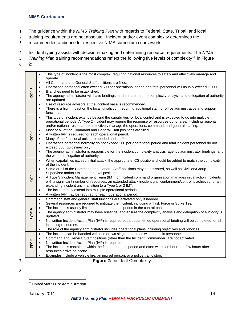- The guidance within the *NIMS Training Plan* with regards to Federal, State, Tribal, and local 1
- training requirements are not absolute. Incident and/or event complexity determines the 2
- recommended audience for respective NIMS curriculum coursework. 3
- 4 Incident typing assists with decision-making and determining resource requirements. The *NIMS*
- 5 *Training Plan* training recommendations reflect the following five levels of complexity<sup>[16](#page-19-0)</sup> in Figure
- 6 2:

|   | Type 1 | This type of incident is the most complex, requiring national resources to safely and effectively manage and<br>$\bullet$<br>operate.<br>All Command and General Staff positions are filled.<br>Operations personnel often exceed 500 per operational period and total personnel will usually exceed 1,000.<br>$\bullet$<br>Branches need to be established.<br>The agency administrator will have briefings, and ensure that the complexity analysis and delegation of authority<br>are updated.<br>Use of resource advisors at the incident base is recommended.<br>$\bullet$<br>There is a high impact on the local jurisdiction, requiring additional staff for office administrative and support<br>$\bullet$<br>functions.                                                                                                                                                       |
|---|--------|----------------------------------------------------------------------------------------------------------------------------------------------------------------------------------------------------------------------------------------------------------------------------------------------------------------------------------------------------------------------------------------------------------------------------------------------------------------------------------------------------------------------------------------------------------------------------------------------------------------------------------------------------------------------------------------------------------------------------------------------------------------------------------------------------------------------------------------------------------------------------------------|
|   | Type 2 | This type of incident extends beyond the capabilities for local control and is expected to go into multiple<br>$\bullet$<br>operational periods. A Type 2 incident may require the response of resources out of area, including regional<br>and/or national resources, to effectively manage the operations, command, and general staffing.<br>Most or all of the Command and General Staff positions are filled.<br>$\bullet$<br>A written IAP is required for each operational period.<br>Many of the functional units are needed and staffed.<br>Operations personnel normally do not exceed 200 per operational period and total incident personnel do not<br>$\bullet$<br>exceed 500 (guidelines only).<br>The agency administrator is responsible for the incident complexity analysis, agency administrator briefings, and<br>$\bullet$<br>the written delegation of authority. |
|   | Type 3 | When capabilities exceed initial attack, the appropriate ICS positions should be added to match the complexity<br>$\bullet$<br>of the incident.<br>Some or all of the Command and General Staff positions may be activated, as well as Division/Group<br>$\bullet$<br>Supervisor and/or Unit Leader level positions.<br>A Type 3 Incident Management Team (IMT) or incident command organization manages initial action incidents<br>with a significant number of resources, an extended attack incident until containment/control is achieved, or an<br>expanding incident until transition to a Type 1 or 2 IMT.<br>The incident may extend into multiple operational periods.<br>$\bullet$<br>A written IAP may be required for each operational period.<br>$\bullet$                                                                                                               |
|   | Type 4 | Command staff and general staff functions are activated only if needed.<br>$\bullet$<br>Several resources are required to mitigate the incident, including a Task Force or Strike Team.<br>$\bullet$<br>The incident is usually limited to one operational period in the control phase.<br>$\bullet$<br>The agency administrator may have briefings, and ensure the complexity analysis and delegation of authority is<br>updated.<br>No written Incident Action Plan (IAP) is required but a documented operational briefing will be completed for all<br>$\bullet$<br>incoming resources.<br>The role of the agency administrator includes operational plans including objectives and priorities.<br>$\bullet$                                                                                                                                                                       |
|   | Type 5 | The incident can be handled with one or two single resources with up to six personnel.<br>$\bullet$<br>Command and General Staff positions (other than the Incident Commander) are not activated.<br>$\bullet$<br>No written Incident Action Plan (IAP) is required.<br>$\bullet$<br>The incident is contained within the first operational period and often within an hour to a few hours after<br>$\bullet$<br>resources arrive on scene.<br>Examples include a vehicle fire, an injured person, or a police traffic stop.                                                                                                                                                                                                                                                                                                                                                           |
| 7 |        | Figure 2: Incident Complexity                                                                                                                                                                                                                                                                                                                                                                                                                                                                                                                                                                                                                                                                                                                                                                                                                                                          |

<span id="page-19-0"></span> <sup>16</sup> United States Fire Administration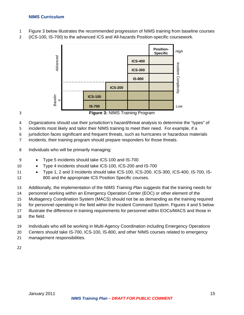- Figure 3 below illustrates the recommended progression of NIMS training from baseline courses 1
- (ICS-100, IS-700) to the advanced ICS and All-hazards Position-specific coursework. 2



3 **Figure 3:** NIMS Training Program

- 4 Organizations should use their jurisdiction's hazard/threat analysis to determine the "types" of
- 5 incidents most likely and tailor their NIMS training to meet their need. For example, if a

6 jurisdiction faces significant and frequent threats, such as hurricanes or hazardous materials

7 incidents, their training program should prepare responders for those threats.

8 Individuals who will be primarily managing:

- 9 Type 5 incidents should take ICS-100 and IS-700
- 10 • Type 4 incidents should take ICS-100, ICS-200 and IS-700
- 11 12 • Type 1, 2 and 3 incidents should take ICS-100, ICS-200, ICS-300, ICS-400, IS-700, IS-800 and the appropriate ICS Position Specific courses.

13 Additionally, the implementation of the *NIMS Training Plan* suggests that the training needs for

- 14 personnel working within an Emergency Operation Center (EOC) or other element of the
- 15 Multiagency Coordination System (MACS) should not be as demanding as the training required
- 16 for personnel operating in the field within the Incident Command System. Figures 4 and 5 below
- 17 18 illustrate the difference in training requirements for personnel within EOCs/MACS and those in the field.
- 19 Individuals who will be working in Multi-Agency Coordination including Emergency Operations
- 20 Centers should take IS-700, ICS-100, IS-800, and other NIMS courses related to emergency
- 21 management responsibilities.
- 22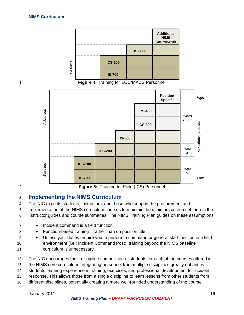<span id="page-21-0"></span>





3

## **Implementing the NIMS Curriculum**

4 The NIC expects students, instructors, and those who support the procurement and

5 implementation of the NIMS curriculum courses to maintain the minimum criteria set forth in the

6 instructor guides and course summaries. The NIMS Training Plan guides on these assumptions:

- 7 Incident command is a field function
- 8 Function-based training rather than on position title
- 10 11 9 • Unless your duties require you to perform a command or general staff function in a field environment (i.e.: Incident Command Post), training beyond the NIMS baseline curriculum is unnecessary.
- 12 The NIC encourages multi-discipline composition of students for each of the courses offered in

13 the NIMS core curriculum. Integrating personnel from multiple disciplines greatly enhances

14 students learning experience in training, exercises, and professional development for incident

- 15 response. This allows those from a single discipline to learn lessons from other students from
- 16 different disciplines, potentially creating a more well-rounded understanding of the course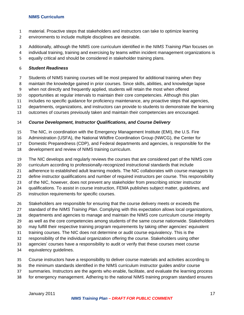- material. Proactive steps that stakeholders and instructors can take to optimize learning 1
- environments to include multiple disciplines are desirable. 2
- 3 Additionally, although the NIMS core curriculum identified in the *NIMS Training Plan* focuses on
- 4 individual training, training and exercising by teams within incident management organizations is
- 5 equally critical and should be considered in stakeholder training plans.

#### 6 *Student Readiness*

- 7 Students of NIMS training courses will be most prepared for additional training when they
- 8 maintain the knowledge gained in prior courses. Since skills, abilities, and knowledge lapse
- 9 when not directly and frequently applied, students will retain the most when offered
- 10 opportunities at regular intervals to maintain their core competencies. Although this plan
- 11 includes no specific guidance for proficiency maintenance, any proactive steps that agencies,
- 12 departments, organizations, and instructors can provide to students to demonstrate the learning
- 13 outcomes of courses previously taken and maintain their competencies are encouraged.

#### 14 *Course Development, Instructor Qualifications, and Course Delivery*

- 15 The NIC, in coordination with the Emergency Management Institute (EMI), the U.S. Fire
- 16 Administration (USFA), the National Wildfire Coordination Group (NWCG), the Center for
- 17 Domestic Preparedness (CDP), and Federal departments and agencies, is responsible for the
- 18 development and review of NIMS training curriculum.
- 19 The NIC develops and regularly reviews the courses that are considered part of the NIMS core
- 20 curriculum according to professionally-recognized instructional standards that include
- 21 adherence to established adult learning models. The NIC collaborates with course managers to
- 22 define instructor qualifications and number of required instructors per course. This responsibility
- 23 of the NIC, however, does not prevent any stakeholder from prescribing stricter instructor
- 24 qualifications. To assist in course instruction, FEMA publishes subject matter, guidelines, and
- 25 instruction requirements for specific courses.
- 26 Stakeholders are responsible for ensuring that the course delivery meets or exceeds the
- 27 standard of the *NIMS Training Plan*. Complying with this expectation allows local organizations,
- 28 departments and agencies to manage and maintain the NIMS core curriculum course integrity
- 29 as well as the core competencies among students of the same course nationwide. Stakeholders
- 30 may fulfill their respective training program requirements by taking other agencies' equivalent
- 31 training courses. The NIC does not determine or audit course equivalency. This is the
- 32 responsibility of the individual organization offering the course. Stakeholders using other
- 33 agencies' courses have a responsibility to audit or verify that these courses meet course
- 34 equivalency guidelines.
- 35 Course instructors have a responsibility to deliver course materials and activities according to
- 36 the minimum standards identified in the NIMS curriculum instructor guides and/or course
- 37 summaries. Instructors are the agents who enable, facilitate, and evaluate the learning process
- 38 for emergency management. Adhering to the national NIMS training program standard ensures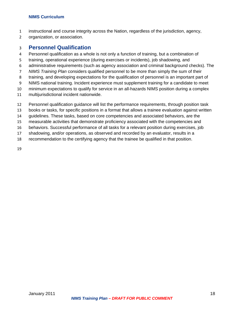- <span id="page-23-0"></span>1 instructional and course integrity across the Nation, regardless of the jurisdiction, agency,
- 2 organization, or association.

#### 3 **Personnel Qualification**

- 4 Personnel qualification as a whole is not only a function of training, but a combination of
- 5 training, operational experience (during exercises or incidents), job shadowing, and
- 6 administrative requirements (such as agency association and criminal background checks). The
- 7 *NIMS Training Plan* considers qualified personnel to be more than simply the sum of their
- 8 training, and developing expectations for the qualification of personnel is an important part of
- 9 NIMS national training. Incident experience must supplement training for a candidate to meet
- 10 minimum expectations to qualify for service in an all-hazards NIMS position during a complex
- 11 multijurisdictional incident nationwide.
- 12 Personnel qualification guidance will list the performance requirements, through position task
- 13 books or tasks, for specific positions in a format that allows a trainee evaluation against written
- 14 guidelines. These tasks, based on core competencies and associated behaviors, are the
- 15 measurable activities that demonstrate proficiency associated with the competencies and
- 16 behaviors. Successful performance of all tasks for a relevant position during exercises, job
- 17 shadowing, and/or operations, as observed and recorded by an evaluator, results in a
- 18 recommendation to the certifying agency that the trainee be qualified in that position.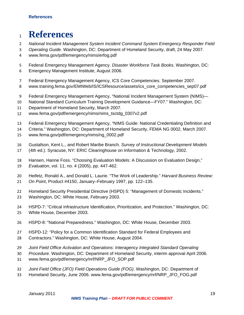- <span id="page-24-0"></span>2 *National Incident Management System Incident Command System Emergency Responder Field*
- 3 *Operating Guide.* Washington, DC: Department of Homeland Security, draft, 24 May 2007.
- 4 www.fema.gov/pdf/emergency/nims/erfog.pdf
- 5 Federal Emergency Management Agency. *Disaster Workforce Task Books.* Washington, DC:
- 6 Emergency Management Institute, August 2006.
- 7 Federal Emergency Management Agency, ICS Core Competencies. September 2007.
- 8 www.training.fema.gov/EMIWeb/IS/ICSResource/assets/ics\_core\_competencies\_sep07.pdf
- 9 Federal Emergency Management Agency, "National Incident Management System (NIMS)—
- 10 National Standard Curriculum Training Development Guidance—FY07." Washington, DC:
- 11 Department of Homeland Security, March 2007.
- 12 www.fema.gov/pdf/emergency/nims/nims\_tsctdg\_0307v2.pdf
- 13 Federal Emergency Management Agency, "NIMS Guide: National Credentialing Definition and
- 14 Criteria." Washington, DC: Department of Homeland Security, FEMA NG 0002, March 2007.
- 15 www.fema.gov/pdf/emergency/nims/ng\_0002.pdf
- 16 Gustafson, Kent L., and Robert Maribe Branch. *Survey of Instructional Development Models*
- 17 (4th ed.). Syracuse, NY: ERIC Clearinghouse on Information & Technology, 2002.
- 18 Hansen, Hanne Foss. "Choosing Evaluation Models: A Discussion on Evaluation Design,"
- 19 *Evaluation*, vol. 11, no. 4 (2005), pp. 447-462.
- 20 21 Heifetz, Ronald A., and Donald L. Laurie. "The Work of Leadership." *Harvard Business Review: On Point*, Product #4150, January–February 1997, pp. 122–135.
- 22 23 Homeland Security Presidential Directive (HSPD) 5: "Management of Domestic Incidents." Washington, DC: White House, February 2003.
- 24 25 HSPD-7: "Critical Infrastructure Identification, Prioritization, and Protection." Washington, DC: White House, December 2003.
- 26 HSPD-8: "National Preparedness." Washington, DC: White House, December 2003.
- 27 HSPD-12: "Policy for a Common Identification Standard for Federal Employees and
- 28 Contractors." Washington, DC: White House, August 2004.
- 29 *Joint Field Office Activation and Operations: Interagency Integrated Standard Operating*
- 30 *Procedure.* Washington, DC: Department of Homeland Security, interim approval April 2006.
- 31 www.fema.gov/pdf/emergency/nrf/NRP\_JFO\_SOP.pdf
- 32 *Joint Field Office (JFO) Field Operations Guide (FOG)*. Washington, DC: Department of
- 33 Homeland Security, June 2006. www.fema.gov/pdf/emergency/nrf/NRP\_JFO\_FOG.pdf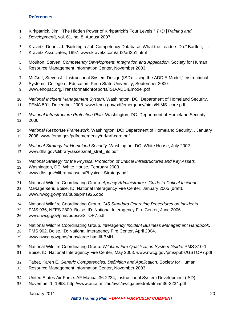- Kirkpatrick, Jim. "The Hidden Power of Kirkpatrick's Four Levels," *T+D* [*Training and*  1
- *Development*], vol. 61, no. 8, August 2007. 2
- 3 4 Kravetz, Dennis J. "Building a Job Competency Database: What the Leaders Do." Bartlett, IL: Kravetz Associates, 1997. www.kravetz.com/art2/art2p1.html
- 5 6 Moulton, Steven. *Competency Development, Integration and Application.* Society for Human Resource Management Information Center, November 2003.
- 7 McGriff, Steven J. "Instructional System Design (ISD): Using the ADDIE Model," Instructional
- 8 Systems, College of Education, Penn State University, September 2000.
- 9 www.ehopac.org/TransformationReports/ISD-ADDIEmodel.pdf
- 10 *National Incident Management System*. Washington, DC: Department of Homeland Security,
- 11 FEMA 501, December 2008. www.fema.gov/pdf/emergency/nims/NIMS\_core.pdf
- 12 13 *National Infrastructure Protection Plan.* Washington, DC: Department of Homeland Security, 2006.
- 14 *National Response Framework.* Washington, DC: Department of Homeland Security, , January
- 15 2008. www.fema.gov/pdf/emergency/nrf/nrf-core.pdf
- 16 *National Strategy for Homeland Security.* Washington, DC: White House, July 2002.
- 17 www.dhs.gov/xlibrary/assets/nat\_strat\_hls.pdf
- 18 *National Strategy for the Physical Protection of Critical Infrastructures and Key Assets.*
- 19 Washington, DC: White House, February 2003.
- 20 www.dhs.gov/xlibrary/assets/Physical\_Strategy.pdf
- 21 National Wildfire Coordinating Group. *Agency Administrator's Guide to Critical Incident*
- 22 *Management.* Boise, ID: National Interagency Fire Center, January 2005 (draft).
- 23 www.nwcg.gov/pms/pubs/pms926.doc
- 24 National Wildfire Coordinating Group. *GIS Standard Operating Procedures on Incidents.*
- 25 PMS 936, NFES 2809. Boise, ID: National Interagency Fire Center, June 2006.
- 26 www.nwcg.gov/pms/pubs/GSTOP7.pdf
- 27 National Wildfire Coordinating Group. *Interagency Incident Business Management Handbook*.
- 28 PMS 902. Boise, ID: National Interagency Fire Center, April 2004.
- 29 www.nwcg.gov/pms/pubs/large.html#IIBMH
- 30 National Wildfire Coordinating Group. *Wildland Fire Qualification System Guide.* PMS 310-1.
- 31 Boise, ID: National Interagency Fire Center, May 2008. www.nwcg.gov/pms/pubs/GSTOP7.pdf
- 32 Tabet, Karen E. *Generic Competencies: Definition and Application.* Society for Human
- 33 Resource Management Information Center, November 2003.
- 34 United States Air Force. AF Manual 36-2234, Instructional System Development (ISD).
- 35 November 1, 1993. http://www.au.af.mil/au/awc/awcgate/edref/afman36-2234.pdf

January 2011 20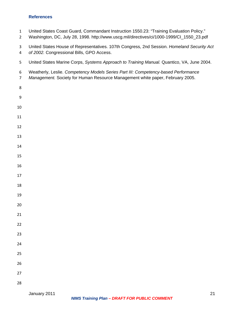- United States Coast Guard, Commandant Instruction 1550.23: "Training Evaluation Policy."
- Washington, DC, July 28, 1998. http://www.uscg.mil/directives/ci/1000-1999/CI\_1550\_23.pdf

 United States House of Representatives. 107th Congress, 2nd Session. *Homeland Security Act of 2002.* Congressional Bills, GPO Access.

 United States Marine Corps, *Systems Approach to Training Manual.* Quantico, VA, June 2004.

- Weatherly, Leslie. *Competency Models Series Part III: Competency-based Performance*
- *Management.* Society for Human Resource Management white paper, February 2005.
- 
- -
- 
- 
- 
- 
- 
- 
- 
- 
- 
- 
- 
- 
- 
- 
- 
- 
- 
- 
- 
- 
- 
- 
- 
- 
-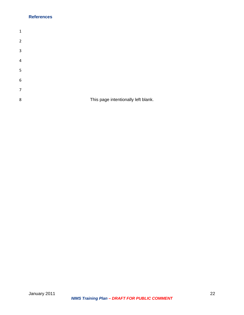| $\mathbf{1}$   |                                     |
|----------------|-------------------------------------|
| 2              |                                     |
| 3              |                                     |
| $\overline{4}$ |                                     |
| 5              |                                     |
| 6              |                                     |
| $\overline{7}$ |                                     |
| 8              | This page intentionally left blank. |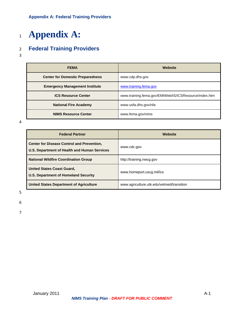## <span id="page-28-0"></span><sup>1</sup> **Appendix A:**

#### 2 **Federal Training Providers**

3

| <b>FEMA</b>                             | Website                                               |  |
|-----------------------------------------|-------------------------------------------------------|--|
| <b>Center for Domestic Preparedness</b> | www.cdp.dhs.gov                                       |  |
| <b>Emergency Management Institute</b>   | www.training.fema.gov                                 |  |
| <b>ICS Resource Center</b>              | www.training.fema.gov/EMIWeb/IS/ICSResource/index.htm |  |
| <b>National Fire Academy</b>            | www.usfa.dhs.gov/nfa                                  |  |
| <b>NIMS Resource Center</b>             | www.fema.gov/nims                                     |  |

4

| <b>Federal Partner</b>                                                                            | Website                                   |  |
|---------------------------------------------------------------------------------------------------|-------------------------------------------|--|
| <b>Center for Disease Control and Prevention,</b><br>U.S. Department of Health and Human Services | www.cdc.gov                               |  |
| <b>National Wildfire Coordination Group</b>                                                       | http://training.nwcg.gov                  |  |
| <b>United States Coast Guard,</b><br><b>U.S. Department of Homeland Security</b>                  | www.homeport.uscg.mil/ics                 |  |
| <b>United States Department of Agriculture</b>                                                    | www.agriculture.utk.edu/vetmed/transition |  |

5

6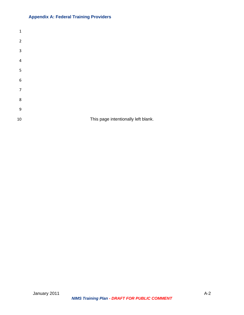## **Appendix A: Federal Training Providers**

| $\mathbf{1}$     |                                     |
|------------------|-------------------------------------|
| $\overline{2}$   |                                     |
| $\mathsf 3$      |                                     |
| $\sqrt{4}$       |                                     |
| 5                |                                     |
| $\boldsymbol{6}$ |                                     |
| $\overline{7}$   |                                     |
| $\,8\,$          |                                     |
| $\boldsymbol{9}$ |                                     |
| $10\,$           | This page intentionally left blank. |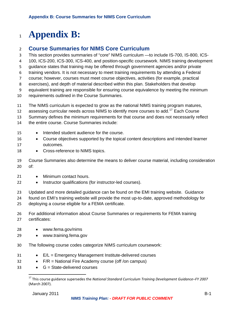## <span id="page-30-0"></span><sup>1</sup> **Appendix B:**

#### 2 **Course Summaries for NIMS Core Curriculum**

- 3 This section provides summaries of "core" NIMS curriculum —to include IS-700, IS-800, ICS-
- 4 100, ICS-200, ICS-300, ICS-400, and position-specific coursework. NIMS training development
- 5 guidance states that training may be offered through government agencies and/or private
- 6 training vendors. It is not necessary to meet training requirements by attending a Federal
- 7 course; however, courses must meet course objectives, activities (for example, practical
- 8 exercises), and depth of material described within this plan. Stakeholders that develop
- 9 equivalent training are responsible for ensuring course equivalence by meeting the minimum
- 10 requirements outlined in the Course Summaries.
- 11 The NIMS curriculum is expected to grow as the national NIMS training program matures,
- 12 assessing curricular needs across NIMS to identify more courses to add.<sup>[17](#page-30-1)</sup> Each Course
- 13 Summary defines the minimum requirements for that course and does not necessarily reflect
- 14 the entire course. Course Summaries include:
- 15 • Intended student audience for the course.
- 16 17 • Course objectives supported by the topical content descriptions and intended learner outcomes.
- 18 • Cross-reference to NIMS topics.

19 20 Course Summaries also determine the means to deliver course material, including consideration of:

- 21 • Minimum contact hours.
- 22 • Instructor qualifications (for instructor-led courses).
- 23 Updated and more detailed guidance can be found on the EMI training website. Guidance
- 24 found on EMI's training website will provide the most up-to-date, approved methodology for
- 25 deploying a course eligible for a FEMA certificate.
- 26 27 For additional information about Course Summaries or requirements for FEMA training certificates:
- 28 • www.fema.gov/nims
- 29 • www.training.fema.gov
- 30 The following course codes categorize NIMS curriculum coursework:
- 31 • E/L = Emergency Management Institute-delivered courses
- 32 • F/R = National Fire Academy course (off /on campus)
- <span id="page-30-1"></span>33 • G = State-delivered courses

<sup>17</sup> This course guidance supersedes the *National Standard Curriculum Training Development Guidance–FY 2007* (March 2007).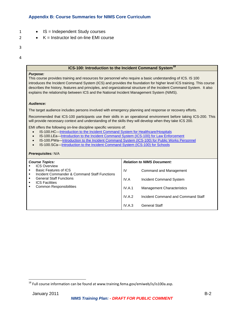## **Appendix B: Course Summaries for NIMS Core Curriculum**

- 1 IS = Independent Study courses
- 2  $K =$  Instructor led on-line EMI course
- 3
- 
- 4

## **ICS-100: Introduction to the Incident Command System[18](#page-31-0)** *Purpose:*  This course provides training and resources for personnel who require a basic understanding of ICS. IS 100 introduces the Incident Command System (ICS) and provides the foundation for higher level ICS training. This course describes the history, features and principles, and organizational structure of the Incident Command System. It also explains the relationship between ICS and the National Incident Management System (NIMS). *Audience:*  The target audience includes persons involved with emergency planning and response or recovery efforts. Recommended that ICS-100 participants use their skills in an operational environment before taking ICS-200. This will provide necessary context and understanding of the skills they will develop when they take ICS 200. EMI offers the following on-line discipline specific versions of: • IS-100.HC—[Introduction to the Incident Command System for Healthcare/Hospitals](http://training.fema.gov/EMIWeb/IS/is100HC.asp) • IS-100.LEa—[Introduction to the Incident Command System \(ICS-100\) for Law Enforcement](http://training.fema.gov/EMIWeb/IS/IS100LEA.asp)  • IS-100.PWa[—Introduction to the Incident Command System \(ICS-100\) for Public Works Personnel](http://training.fema.gov/EMIWeb/IS/IS100PWA.asp)  • IS-100.SCa-Introduction to the Incident Command System (ICS-100) for Schools *Prerequisites:* N/A *Course Topics:*  ICS Overview Basic Features of ICS Incident Commander & Command Staff Functions General Staff Functions ICS Facilities Common Responsibilities *Relation to NIMS Document:*  IV Command and Management IV.A Incident Command System IV.A.1 Management Characteristics IV.A.2 Incident Command and Command Staff IV.A.3 General Staff

<span id="page-31-0"></span> $18$  Full course information can be found at www.training.fema.gov/emiweb/is/is100a.asp.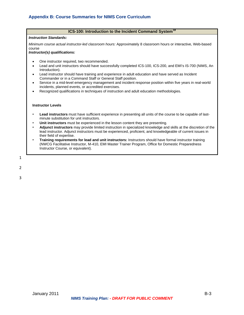## **1CS-100: Introduction to the Incident Command System<sup>18</sup>**

### *Instruction Standards:*

*Minimum course actual instructor-led classroom hours:* Approximately 8 classroom hours or interactive, Web-based course

*Instructor(s) qualifications:* 

- One instructor required, two recommended.
- Lead and unit instructors should have successfully completed ICS-100, ICS-200, and EMI's IS-700 (NIMS, An Introduction).
- Lead instructor should have training and experience in adult education and have served as Incident Commander or in a Command Staff or General Staff position.
- Service in a mid-level emergency management and incident response position within five years in real-world incidents, planned events, or accredited exercises.
- Recognized qualifications in techniques of instruction and adult education methodologies.

### **Instructor Levels**

- **Lead instructors** must have sufficient experience in presenting all units of the course to be capable of lastminute substitution for unit instructors.
- Unit instructors must be experienced in the lesson content they are presenting.
- **Adjunct instructors** may provide limited instruction in specialized knowledge and skills at the discretion of the lead instructor. Adjunct instructors must be experienced, proficient, and knowledgeable of current issues in their field of expertise.
- **Training requirements for lead and unit instructors:** Instructors should have formal instructor training (NWCG Facilitative Instructor, M-410, EMI Master Trainer Program, Office for Domestic Preparedness Instructor Course, or equivalent).

1

2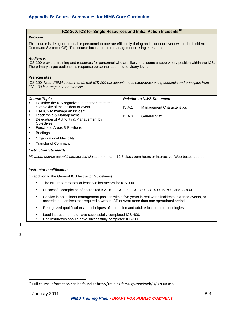## **ICS-200: ICS for Single Resources and Initial Action Incidents[19](#page-33-0)**

### *Purpose:*

This course is designed to enable personnel to operate efficiently during an incident or event within the Incident Command System (ICS). This course focuses on the management of single resources.

### *Audience:*

ICS-200 provides training and resources for personnel who are likely to assume a supervisory position within the ICS. The primary target audience is response personnel at the supervisory level.

### **Prerequisites:**

ICS-100. *Note: FEMA recommends that ICS-200 participants have experience using concepts and principles from ICS-100 in a response or exercise.* 

| <b>Course Topics</b>                                                                                                                    | <b>Relation to NIMS Document</b> |                                   |  |  |
|-----------------------------------------------------------------------------------------------------------------------------------------|----------------------------------|-----------------------------------|--|--|
| Describe the ICS organization appropriate to the<br>complexity of the incident or event.<br>Use ICS to manage an incident<br>٠          | IV.A.1                           | <b>Management Characteristics</b> |  |  |
| Leadership & Management<br>٠<br>Delegation of Authority & Management by<br><b>Objectives</b><br><b>Functional Areas &amp; Positions</b> | IV.A.3                           | <b>General Staff</b>              |  |  |
| <b>Briefings</b><br>٠                                                                                                                   |                                  |                                   |  |  |
| Organizational Flexibility                                                                                                              |                                  |                                   |  |  |
| <b>Transfer of Command</b>                                                                                                              |                                  |                                   |  |  |
| <b>Instruction Standards:</b>                                                                                                           |                                  |                                   |  |  |

*Minimum course actual instructor-led classroom hours:* 12.5 classroom hours or interactive, Web-based course

### *Instructor qualifications:*

(in addition to the General ICS Instructor Guidelines)

- The NIC recommends at least two instructors for ICS 300.
- Successful completion of accredited ICS-100, ICS-200, ICS-300, ICS-400, IS-700, and IS-800.
- Service in an incident management position within five years in real-world incidents, planned events, or accredited exercises that required a written IAP or went more than one operational period.
- Recognized qualifications in techniques of instruction and adult education methodologies.
- Lead instructor should have successfully completed ICS-400.
- Unit instructors should have successfully completed ICS-300

1

2

<span id="page-33-0"></span><sup>&</sup>lt;sup>19</sup> Full course information can be found at http://training.fema.gov/emiweb/is/is200a.asp.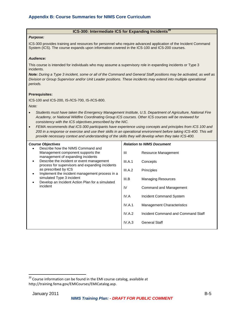## **ICS-300: Intermediate ICS for Expanding Incidents[20](#page-34-0)**

### *Purpose:*

ICS-300 provides training and resources for personnel who require advanced application of the Incident Command System (ICS). The course expands upon information covered in the ICS-100 and ICS-200 courses.

### *Audience:*

This course is intended for individuals who may assume a supervisory role in expanding incidents or Type 3 incidents.

*Note: During a Type 3 incident, some or all of the Command and General Staff positions may be activated, as well as Division or Group Supervisor and/or Unit Leader positions. These incidents may extend into multiple operational periods.*

## **Prerequisites:**

ICS-100 and ICS-200, IS-/ICS-700, IS-/ICS-800.

*Note:* 

- *Students must have taken the Emergency Management Institute, U.S. Department of Agriculture, National Fire Academy, or National Wildfire Coordinating Group ICS courses. Other ICS courses will be reviewed for consistency with the ICS objectives prescribed by the NIC.*
- *FEMA recommends that ICS-300 participants have experience using concepts and principles from ICS 100 and 200 in a response or exercise and use their skills in an operational environment before taking ICS-400. This will provide necessary context and understanding of the skills they will develop when they take ICS-400.*

| <b>Course Objectives</b> |                                                                                                                                                                                                                                                                    | <b>Relation to NIMS Document</b> |                                    |
|--------------------------|--------------------------------------------------------------------------------------------------------------------------------------------------------------------------------------------------------------------------------------------------------------------|----------------------------------|------------------------------------|
|                          | Describe how the NIMS Command and<br>Management component supports the<br>management of expanding incidents                                                                                                                                                        | Ш                                | Resource Management                |
|                          | Describe the incident or event management<br>process for supervisors and expanding incidents<br>as prescribed by ICS<br>Implement the incident management process in a<br>simulated Type 3 incident<br>Develop an Incident Action Plan for a simulated<br>incident | III.A.1                          | Concepts                           |
| ٠                        |                                                                                                                                                                                                                                                                    | III.A.2                          | <b>Principles</b>                  |
|                          |                                                                                                                                                                                                                                                                    | III.B                            | <b>Managing Resources</b>          |
|                          |                                                                                                                                                                                                                                                                    | IV                               | Command and Management             |
|                          |                                                                                                                                                                                                                                                                    | IV.A                             | Incident Command System            |
|                          |                                                                                                                                                                                                                                                                    | IV.A.1                           | <b>Management Characteristics</b>  |
|                          |                                                                                                                                                                                                                                                                    | IV.A.2                           | Incident Command and Command Staff |
|                          |                                                                                                                                                                                                                                                                    | IV.A.3                           | <b>General Staff</b>               |

<span id="page-34-0"></span> $^{20}$  Course information can be found in the EMI course catalog, available at http://training.fema.gov/EMICourses/EMICatalog.asp.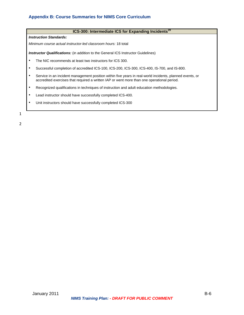## **Appendix B: Course Summaries for NIMS Core Curriculum**

## **1CS-300: Intermediate ICS for Expanding Incidents<sup>20</sup>**

*Instruction Standards:* 

*Minimum course actual instructor-led classroom hours:* 18 total

**Instructor Qualifications:** (in addition to the General ICS Instructor Guidelines)

- The NIC recommends at least two instructors for ICS 300.
- Successful completion of accredited ICS-100, ICS-200, ICS-300, ICS-400, IS-700, and IS-800.
- Service in an incident management position within five years in real-world incidents, planned events, or accredited exercises that required a written IAP or went more than one operational period.
- Recognized qualifications in techniques of instruction and adult education methodologies.
- Lead instructor should have successfully completed ICS-400.
- Unit instructors should have successfully completed ICS-300

1

2 and 2 and 2 and 2 and 2 and 2 and 2 and 2 and 2 and 2 and 2 and 2 and 2 and 2 and 2 and 2 and 2 and 2 and 2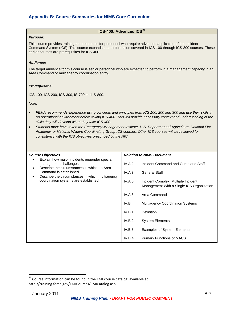### **ICS-400: Advanced ICS[21](#page-36-0)**

### *Purpose:*

This course provides training and resources for personnel who require advanced application of the Incident Command System (ICS). This course expands upon information covered in ICS-100 through ICS-300 courses. These earlier courses are prerequisites for ICS-400.

### *Audience:*

The target audience for this course is senior personnel who are expected to perform in a management capacity in an Area Command or multiagency coordination entity.

### *Prerequisites:*

ICS-100, ICS-200, ICS-300, IS-700 and IS-800.

*Note:* 

- *FEMA recommends experience using concepts and principles from ICS 100, 200 and 300 and use their skills in an operational environment before taking ICS-400. This will provide necessary context and understanding of the skills they will develop when they take ICS-400.*
- *Students must have taken the Emergency Management Institute, U.S. Department of Agriculture, National Fire Academy, or National Wildfire Coordinating Group ICS courses. Other ICS courses will be reviewed for consistency with the ICS objectives prescribed by the NIC.*

| <b>Course Objectives</b>                                                                             |        | <b>Relation to NIMS Document</b>                                                 |  |  |
|------------------------------------------------------------------------------------------------------|--------|----------------------------------------------------------------------------------|--|--|
| Explain how major incidents engender special<br>management challenges                                | IV.A.2 | Incident Command and Command Staff                                               |  |  |
| Describe the circumstances in which an Area<br>٠<br>Command is established                           | IV.A.3 | <b>General Staff</b>                                                             |  |  |
| Describe the circumstances in which multiagency<br>$\bullet$<br>coordination systems are established | IV.A.5 | Incident Complex: Multiple Incident<br>Management With a Single ICS Organization |  |  |
|                                                                                                      | IV.A.6 | Area Command                                                                     |  |  |
|                                                                                                      | IV.B   | <b>Multiagency Coordination Systems</b>                                          |  |  |
|                                                                                                      | IV.B.1 | Definition                                                                       |  |  |
|                                                                                                      | IV.B.2 | <b>System Elements</b>                                                           |  |  |
|                                                                                                      | IV.B.3 | <b>Examples of System Elements</b>                                               |  |  |
|                                                                                                      | IV.B.4 | <b>Primary Functions of MACS</b>                                                 |  |  |

<span id="page-36-0"></span> $^{21}$  Course information can be found in the EMI course catalog, available at http://training.fema.gov/EMICourses/EMICatalog.asp.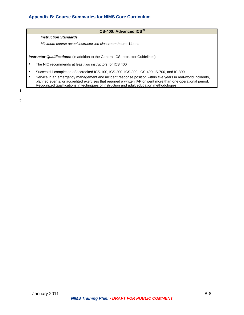### **<sup>21</sup> ICS-400: Advanced ICS**

### *Instruction Standards*

*Minimum course actual instructor-led classroom hours:* 14 total

**Instructor Qualifications:** (in addition to the General ICS Instructor Guidelines)

- The NIC recommends at least two instructors for ICS 400
- Successful completion of accredited ICS-100, ICS-200, ICS-300, ICS-400, IS-700, and IS-800.
- Service in an emergency management and incident response position within five years in real-world incidents, planned events, or accredited exercises that required a written IAP or went more than one operational period. Recognized qualifications in techniques of instruction and adult education methodologies.

1

2 and 2 and 2 and 2 and 2 and 2 and 2 and 2 and 2 and 2 and 2 and 2 and 2 and 2 and 2 and 2 and 2 and 2 and 2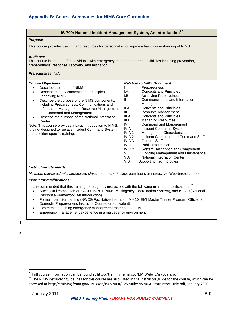### **IS-700: National Incident Management System, An Introduction[22](#page-38-0)**

### *Purpose*

This course provides training and resources for personnel who require a basic understanding of NIMS.

### *Audience*

This course is intended for individuals with emergency management responsibilities including prevention, preparedness, response, recovery, and mitigation.

### *Prerequisites***:** N/A

*Minimum course actual instructor-led classroom hours:* 8 classroom hours or interactive, Web-based course

### *Instructor qualifications:*

It is recommended that this training be taught by instructors with the following minimum qualifications:<sup>[23](#page-38-1)</sup>

- Successful completion of IS-700, IS-701 (NIMS Multiagency Coordination System), and IS-800 (National Response Framework, An Introduction)
- Formal instructor training (NWCG Facilitative Instructor, M-410, EMI Master Trainer Program, Office for Domestic Preparedness Instructor Course, or equivalent)
- Experience teaching emergency management material to adults
- Emergency management experience in a multiagency environment



<span id="page-38-0"></span><sup>&</sup>lt;sup>22</sup> Full course information can be found at http://training.fema.gov/EMIWeb/IS/is700a.asp.

<span id="page-38-1"></span><sup>&</sup>lt;sup>23</sup> The NIMS instructor guidelines for this course are also listed in the instructor guide for the course, which can be accessed at http://training.fema.gov/EMIWeb/IS/IS700a/IG%20files/IS700A\_InstructorGuide.pdf, January 2009.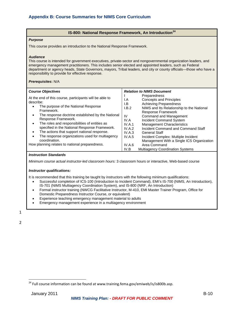### **IS-800: National Response Framework, An Introduction[24](#page-39-0)**

### *Purpose*

This course provides an introduction to the National Response Framework.

### *Audience*

This course is intended for government executives, private-sector and nongovernmental organization leaders, and emergency management practitioners. This includes senior elected and appointed leaders, such as Federal department or agency heads, State Governors, mayors, Tribal leaders, and city or county officials—those who have a responsibility to provide for effective response.

|  | <b>Prerequisites: N/A</b> |  |
|--|---------------------------|--|
|--|---------------------------|--|

| <b>Concepts and Principles</b><br><b>Achieving Preparedness</b><br>NIMS and Its Relationship to the National<br>Response Framework<br>Command and Management<br>Incident Command System<br><b>Management Characteristics</b><br>Incident Command and Command Staff<br>Incident Complex: Multiple Incident<br>Management With a Single ICS Organization<br><b>Multiagency Coordination Systems</b> |
|---------------------------------------------------------------------------------------------------------------------------------------------------------------------------------------------------------------------------------------------------------------------------------------------------------------------------------------------------------------------------------------------------|
|                                                                                                                                                                                                                                                                                                                                                                                                   |

### *Instruction Standards*

*Minimum course actual instructor-led classroom hours:* 3 classroom hours or interactive, Web-based course

### *Instructor qualifications:*

It is recommended that this training be taught by instructors with the following minimum qualifications:

- Successful completion of ICS-100 (Introduction to Incident Command), EMI's IS-700 (NIMS, An Introduction), IS-701 (NIMS Multiagency Coordination System), and IS-800 (NRF, An Introduction)
- Formal instructor training (NWCG Facilitative Instructor, M-410, EMI Master Trainer Program, Office for Domestic Preparedness Instructor Course, or equivalent)
- Experience teaching emergency management material to adults
- Emergency management experience in a multiagency environment

### 1

2

<span id="page-39-0"></span><sup>&</sup>lt;sup>24</sup> Full course information can be found at www.training.fema.gov/emiweb/is/is800b.asp.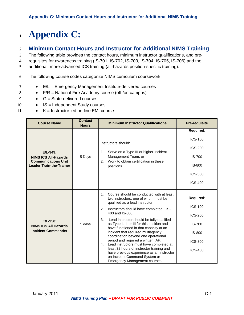# <sup>1</sup> **Appendix C:**

- 3 The following table provides the contact hours, minimum instructor qualifications, and pre-
- 4 requisites for awareness training (IS-701, IS-702, IS-703, IS-704, IS-705, IS-706) and the
- 5 additional, more-advanced ICS training (all-hazards position-specific training).
- 6 The following course codes categorize NIMS curriculum coursework:
- 7 E/L = Emergency Management Institute-delivered courses
- 8 F/R = National Fire Academy course (off /on campus)
- 9 G = State-delivered courses
- 10 • IS = Independent Study courses
- 11  $\bullet$  K = Instructor led on-line EMI course

| <b>Course Name</b>                                                                                       | <b>Contact</b><br><b>Hours</b> | <b>Minimum Instructor Qualifications</b>                                                                                                                                                                                                                                                                                                                                                                                                                                                                                                                                                                                                                                 | <b>Pre-requisite</b>                                                                                         |
|----------------------------------------------------------------------------------------------------------|--------------------------------|--------------------------------------------------------------------------------------------------------------------------------------------------------------------------------------------------------------------------------------------------------------------------------------------------------------------------------------------------------------------------------------------------------------------------------------------------------------------------------------------------------------------------------------------------------------------------------------------------------------------------------------------------------------------------|--------------------------------------------------------------------------------------------------------------|
| E/L-949:<br><b>NIMS ICS All-Hazards</b><br><b>Communications Unit</b><br><b>Leader Train-the-Trainer</b> | 5 Days                         | Instructors should:<br>Serve on a Type III or higher Incident<br>1.<br>Management Team, or<br>Work to obtain certification in these<br>2.<br>positions.                                                                                                                                                                                                                                                                                                                                                                                                                                                                                                                  | Required:<br><b>ICS-100</b><br><b>ICS-200</b><br>IS-700<br>IS-800<br><b>ICS-300</b><br><b>ICS-400</b>        |
| $E/L-950$ :<br><b>NIMS ICS All Hazards</b><br><b>Incident Commander</b>                                  | 5 days                         | Course should be conducted with at least<br>1.<br>two instructors, one of whom must be<br>qualified as a lead instructor.<br>2.<br>Instructors should have completed ICS-<br>400 and IS-800.<br>3.<br>Lead instructor should be fully qualified<br>as Type I, II, or III for this position and<br>have functioned in that capacity at an<br>incident that required multiagency<br>coordination beyond one operational<br>period and required a written IAP.<br>Lead instructors must have completed at<br>4.<br>least 32 hours of instructor training and<br>have previous experience as an instructor<br>on Incident Command System or<br>Emergency Management courses. | Required:<br><b>ICS-100</b><br><b>ICS-200</b><br><b>IS-700</b><br>IS-800<br><b>ICS-300</b><br><b>ICS-400</b> |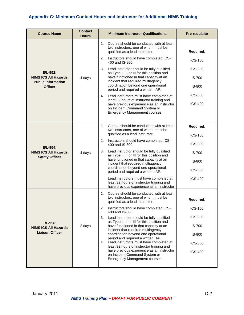| <b>Course Name</b>                                       | <b>Contact</b><br><b>Hours</b> | <b>Minimum Instructor Qualifications</b>                                                                                          | <b>Pre-requisite</b> |
|----------------------------------------------------------|--------------------------------|-----------------------------------------------------------------------------------------------------------------------------------|----------------------|
|                                                          |                                | Course should be conducted with at least<br>1.<br>two instructors, one of whom must be<br>qualified as a lead instructor.         | Required:            |
|                                                          |                                | 2.<br>Instructors should have completed ICS-<br>400 and IS-800.                                                                   | <b>ICS-100</b>       |
| $E/L-952$ :                                              |                                | 3.<br>Lead instructor should be fully qualified<br>as Type I, II, or III for this position and                                    | <b>ICS-200</b>       |
| <b>NIMS ICS All Hazards</b><br><b>Public Information</b> | 4 days                         | have functioned in that capacity at an<br>incident that required multiagency                                                      | <b>IS-700</b>        |
| <b>Officer</b>                                           |                                | coordination beyond one operational<br>period and required a written IAP.                                                         | <b>IS-800</b>        |
|                                                          |                                | 4.<br>Lead instructors must have completed at<br>least 32 hours of instructor training and                                        | <b>ICS-300</b>       |
|                                                          |                                | have previous experience as an instructor<br>on Incident Command System or<br>Emergency Management courses.                       | <b>ICS-400</b>       |
|                                                          |                                | 1.<br>Course should be conducted with at least<br>two instructors, one of whom must be                                            | Required:            |
|                                                          |                                | qualified as a lead instructor.                                                                                                   | <b>ICS-100</b>       |
| E/L-954:                                                 |                                | 2.<br>Instructors should have completed ICS-<br>400 and IS-800.                                                                   | <b>ICS-200</b>       |
| <b>NIMS ICS All Hazards</b><br><b>Safety Officer</b>     | 4 days                         | 3.<br>Lead instructor should be fully qualified<br>as Type I, II, or III for this position and                                    | <b>IS-700</b>        |
|                                                          |                                | have functioned in that capacity at an<br>incident that required multiagency                                                      | IS-800               |
|                                                          |                                | coordination beyond one operational<br>period and required a written IAP.                                                         | <b>ICS-300</b>       |
|                                                          |                                | Lead instructors must have completed at<br>least 32 hours of instructor training and<br>have previous experience as an instructor | <b>ICS-400</b>       |
|                                                          |                                | Course should be conducted with at least<br>1.<br>two instructors, one of whom must be<br>qualified as a lead instructor.         | Required:            |
|                                                          |                                | 2.<br>Instructors should have completed ICS-<br>400 and IS-800.                                                                   | <b>ICS-100</b>       |
|                                                          |                                | 3.<br>Lead instructor should be fully qualified<br>as Type I, II, or III for this position and                                    | <b>ICS-200</b>       |
| $E/L-956$ :<br><b>NIMS ICS All Hazards</b>               | 2 days                         | have functioned in that capacity at an<br>incident that required multiagency                                                      | <b>IS-700</b>        |
| <b>Liaison Officer</b>                                   |                                | coordination beyond one operational<br>period and required a written IAP.                                                         | IS-800               |
|                                                          |                                | Lead instructors must have completed at<br>4.<br>least 32 hours of instructor training and                                        | <b>ICS-300</b>       |
|                                                          |                                | have previous experience as an instructor<br>on Incident Command System or<br>Emergency Management courses.                       | <b>ICS-400</b>       |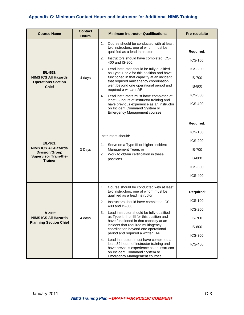| <b>Course Name</b>                                                                                                    | <b>Contact</b><br><b>Hours</b> | <b>Minimum Instructor Qualifications</b>                                                                                                                 | <b>Pre-requisite</b> |
|-----------------------------------------------------------------------------------------------------------------------|--------------------------------|----------------------------------------------------------------------------------------------------------------------------------------------------------|----------------------|
|                                                                                                                       |                                | 1.<br>Course should be conducted with at least<br>two instructors, one of whom must be<br>qualified as a lead instructor.                                | Required:            |
| E/L-958:<br><b>NIMS ICS All Hazards</b><br><b>Operations Section</b><br><b>Chief</b>                                  | 4 days                         | 2.<br>Instructors should have completed ICS-<br>400 and IS-800.                                                                                          | <b>ICS-100</b>       |
|                                                                                                                       |                                | 3.<br>Lead instructor should be fully qualified<br>as Type 1 or 2 for this position and have                                                             | <b>ICS-200</b>       |
|                                                                                                                       |                                | functioned in that capacity at an incident<br>that required multiagency coordination                                                                     | <b>IS-700</b>        |
|                                                                                                                       |                                | went beyond one operational period and<br>required a written IAP.                                                                                        | IS-800               |
|                                                                                                                       |                                | Lead instructors must have completed at<br>4.<br>least 32 hours of instructor training and                                                               | <b>ICS-300</b>       |
|                                                                                                                       |                                | have previous experience as an instructor<br>on Incident Command System or<br>Emergency Management courses.                                              | <b>ICS-400</b>       |
|                                                                                                                       |                                |                                                                                                                                                          | Required:            |
| $E/L-961$ :<br><b>NIMS ICS All-Hazards</b><br><b>Division/Group</b><br><b>Supervisor Train-the-</b><br><b>Trainer</b> | 3 Days                         | Instructors should:                                                                                                                                      | ICS-100              |
|                                                                                                                       |                                | 1.<br>Serve on a Type III or higher Incident                                                                                                             | <b>ICS-200</b>       |
|                                                                                                                       |                                | Management Team, or<br>Work to obtain certification in these<br>2.<br>positions.                                                                         | <b>IS-700</b>        |
|                                                                                                                       |                                |                                                                                                                                                          | IS-800               |
|                                                                                                                       |                                |                                                                                                                                                          | <b>ICS-300</b>       |
|                                                                                                                       |                                |                                                                                                                                                          | <b>ICS-400</b>       |
|                                                                                                                       |                                | Course should be conducted with at least<br>1.<br>two instructors, one of whom must be<br>qualified as a lead instructor.                                | Required:            |
|                                                                                                                       |                                | 2.<br>Instructors should have completed ICS-<br>400 and IS-800.                                                                                          | $ICS-100$            |
| $E/L-962$ :                                                                                                           |                                | 3.<br>Lead instructor should be fully qualified                                                                                                          | <b>ICS-200</b>       |
| <b>NIMS ICS All Hazards</b><br><b>Planning Section Chief</b>                                                          | 4 days                         | as Type I, II, or III for this position and<br>have functioned in that capacity at an                                                                    | <b>IS-700</b>        |
|                                                                                                                       |                                | incident that required multiagency<br>coordination beyond one operational<br>period and required a written IAP.                                          | IS-800               |
|                                                                                                                       |                                | 4.<br>Lead instructors must have completed at                                                                                                            | <b>ICS-300</b>       |
|                                                                                                                       |                                | least 32 hours of instructor training and<br>have previous experience as an instructor<br>on Incident Command System or<br>Emergency Management courses. | <b>ICS-400</b>       |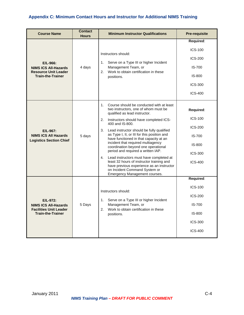| <b>Course Name</b>                                                                                    | <b>Contact</b><br><b>Hours</b> | <b>Minimum Instructor Qualifications</b>                                                                                                                                                                                                                                                                                                                                                                                                                                                                                                                                                                                                                               | <b>Pre-requisite</b>                                                                                         |
|-------------------------------------------------------------------------------------------------------|--------------------------------|------------------------------------------------------------------------------------------------------------------------------------------------------------------------------------------------------------------------------------------------------------------------------------------------------------------------------------------------------------------------------------------------------------------------------------------------------------------------------------------------------------------------------------------------------------------------------------------------------------------------------------------------------------------------|--------------------------------------------------------------------------------------------------------------|
| $E/L-966$ :<br><b>NIMS ICS All-Hazards</b><br><b>Resource Unit Leader</b><br><b>Train-the-Trainer</b> | 4 days                         | Instructors should:<br>Serve on a Type III or higher Incident<br>1.<br>Management Team, or<br>Work to obtain certification in these<br>2.<br>positions.                                                                                                                                                                                                                                                                                                                                                                                                                                                                                                                | Required:<br><b>ICS-100</b><br><b>ICS-200</b><br><b>IS-700</b><br>IS-800<br><b>ICS-300</b><br><b>ICS-400</b> |
| E/L-967:<br><b>NIMS ICS All Hazards</b><br><b>Logistics Section Chief</b>                             | 5 days                         | Course should be conducted with at least<br>1.<br>two instructors, one of whom must be<br>qualified as lead instructor.<br>2.<br>Instructors should have completed ICS-<br>400 and IS-800.<br>3.<br>Lead instructor should be fully qualified<br>as Type I, II, or III for this position and<br>have functioned in that capacity at an<br>incident that required multiagency<br>coordination beyond one operational<br>period and required a written IAP.<br>Lead instructors must have completed at<br>4.<br>least 32 hours of instructor training and<br>have previous experience as an instructor<br>on Incident Command System or<br>Emergency Management courses. | Required:<br>ICS-100<br><b>ICS-200</b><br><b>IS-700</b><br><b>IS-800</b><br><b>ICS-300</b><br><b>ICS-400</b> |
| E/L-972:<br><b>NIMS ICS All-Hazards</b><br><b>Facilities Unit Leader</b><br><b>Train-the-Trainer</b>  | 5 Days                         | Instructors should:<br>1.<br>Serve on a Type III or higher Incident<br>Management Team, or<br>Work to obtain certification in these<br>2.<br>positions.                                                                                                                                                                                                                                                                                                                                                                                                                                                                                                                | Required:<br><b>ICS-100</b><br><b>ICS-200</b><br>IS-700<br>IS-800<br><b>ICS-300</b><br><b>ICS-400</b>        |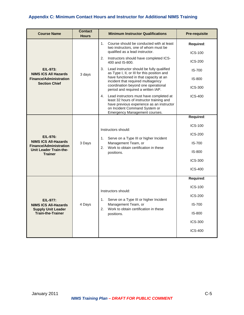| <b>Course Name</b>                                                                                                             | <b>Contact</b><br><b>Hours</b> | <b>Minimum Instructor Qualifications</b>                                                                                  | <b>Pre-requisite</b>        |
|--------------------------------------------------------------------------------------------------------------------------------|--------------------------------|---------------------------------------------------------------------------------------------------------------------------|-----------------------------|
|                                                                                                                                |                                | Course should be conducted with at least<br>1.<br>two instructors, one of whom must be<br>qualified as a lead instructor. | Required:<br><b>ICS-100</b> |
| $E/L-973$ :<br><b>NIMS ICS All Hazards</b><br><b>Finance/Administration</b><br><b>Section Chief</b>                            |                                | 2.<br>Instructors should have completed ICS-<br>400 and IS-800.                                                           | <b>ICS-200</b>              |
|                                                                                                                                |                                | 3.<br>Lead instructor should be fully qualified<br>as Type I, II, or III for this position and                            | IS-700                      |
|                                                                                                                                | 3 days                         | have functioned in that capacity at an<br>incident that required multiagency                                              | <b>IS-800</b>               |
|                                                                                                                                |                                | coordination beyond one operational<br>period and required a written IAP.                                                 | <b>ICS-300</b>              |
|                                                                                                                                |                                | 4.<br>Lead instructors must have completed at<br>least 32 hours of instructor training and                                | <b>ICS-400</b>              |
|                                                                                                                                |                                | have previous experience as an instructor<br>on Incident Command System or<br>Emergency Management courses.               |                             |
|                                                                                                                                |                                |                                                                                                                           | Required:                   |
| $E/L-976$ :<br><b>NIMS ICS All-Hazards</b><br><b>Finance/Administration</b><br><b>Unit Leader Train-the-</b><br><b>Trainer</b> | 3 Days                         | Instructors should:                                                                                                       | <b>ICS-100</b>              |
|                                                                                                                                |                                | 1.<br>Serve on a Type III or higher Incident                                                                              | <b>ICS-200</b>              |
|                                                                                                                                |                                | Management Team, or<br>Work to obtain certification in these<br>2.                                                        | IS-700                      |
|                                                                                                                                |                                | positions.                                                                                                                | IS-800                      |
|                                                                                                                                |                                |                                                                                                                           | <b>ICS-300</b>              |
|                                                                                                                                |                                |                                                                                                                           | <b>ICS-400</b>              |
|                                                                                                                                |                                |                                                                                                                           | Required:                   |
|                                                                                                                                |                                | Instructors should:<br>1.<br>Serve on a Type III or higher Incident                                                       | <b>ICS-100</b>              |
|                                                                                                                                |                                |                                                                                                                           | <b>ICS-200</b>              |
| E/L-977:<br><b>NIMS ICS All-Hazards</b><br><b>Supply Unit Leader</b><br><b>Train-the-Trainer</b>                               | 4 Days                         | Management Team, or<br>2.<br>Work to obtain certification in these                                                        | IS-700                      |
|                                                                                                                                |                                | positions.                                                                                                                | IS-800                      |
|                                                                                                                                |                                |                                                                                                                           | ICS-300                     |
|                                                                                                                                |                                |                                                                                                                           | <b>ICS-400</b>              |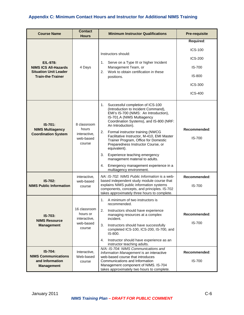| <b>Course Name</b>                                                                                  | <b>Contact</b><br><b>Hours</b>                                  | <b>Minimum Instructor Qualifications</b>                                                                                                                                                                                                                                                                                                                                                                                                                                                                                                                      | <b>Pre-requisite</b>                                                                                         |
|-----------------------------------------------------------------------------------------------------|-----------------------------------------------------------------|---------------------------------------------------------------------------------------------------------------------------------------------------------------------------------------------------------------------------------------------------------------------------------------------------------------------------------------------------------------------------------------------------------------------------------------------------------------------------------------------------------------------------------------------------------------|--------------------------------------------------------------------------------------------------------------|
| E/L-978:<br><b>NIMS ICS All-Hazards</b><br><b>Situation Unit Leader</b><br><b>Train-the-Trainer</b> | 4 Days                                                          | Instructors should:<br>1.<br>Serve on a Type III or higher Incident<br>Management Team, or<br>Work to obtain certification in these<br>2.<br>positions.                                                                                                                                                                                                                                                                                                                                                                                                       | Required:<br><b>ICS-100</b><br><b>ICS-200</b><br><b>IS-700</b><br>IS-800<br><b>ICS-300</b><br><b>ICS-400</b> |
| IS-701:<br><b>NIMS Multiagency</b><br><b>Coordination System</b>                                    | 8 classroom<br>hours<br>interactive,<br>web-based<br>course     | Successful completion of ICS-100<br>1.<br>(Introduction to Incident Command),<br>EMI's IS-700 (NIMS: An Introduction),<br>IS-701.A (NIMS Multiagency<br>Coordination Systems), and IS-800 (NRF:<br>An Introduction).<br>Formal instructor training (NWCG<br>2.<br>Facilitative Instructor, M-410, EMI Master<br>Trainer Program, Office for Domestic<br>Preparedness Instructor Course, or<br>equivalent).<br>3.<br>Experience teaching emergency<br>management material to adults.<br>4.<br>Emergency management experience in a<br>multiagency environment. | Recommended:<br><b>IS-700</b>                                                                                |
| IS-702:<br><b>NIMS Public Information</b>                                                           | interactive,<br>web-based<br>course                             | NA: IS-702: NIMS Public Information is a web-<br>based independent study module course that<br>explains NIMS public information systems<br>components, concepts, and principles. IS-702<br>takes approximately three hours to complete.                                                                                                                                                                                                                                                                                                                       | Recommended:<br><b>IS-700</b>                                                                                |
| IS-703:<br><b>NIMS Resource</b><br><b>Management</b>                                                | 16 classroom<br>hours or<br>interactive,<br>web-based<br>course | 1.<br>A minimum of two instructors is<br>recommended.<br>2.<br>Instructors should have experience<br>managing resources at a complex<br>incident.<br>3.<br>Instructors should have successfully<br>completed ICS-100, ICS-200, IS-700, and<br>IS-800.<br>4.<br>Instructor should have experience as an<br>instructor teaching adults.                                                                                                                                                                                                                         | Recommended:<br>IS-700                                                                                       |
| IS-704:<br><b>NIMS Communications</b><br>and Information<br><b>Management</b>                       | Interactive,<br>Web-based<br>course                             | N/A: IS-704: NIMS Communications and<br>Information Management is an interactive<br>web-based course that introduces<br>Communications and Information<br>Management component of NIMS. IS-704<br>takes approximately two hours to complete.                                                                                                                                                                                                                                                                                                                  | Recommended:<br>IS-700                                                                                       |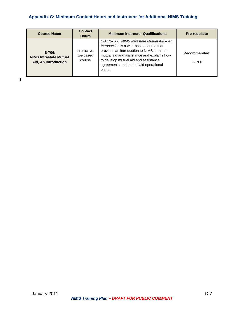| <b>Course Name</b>                                                      | <b>Contact</b><br><b>Hours</b>     | <b>Minimum Instructor Qualifications</b>                                                                                                                                                                                                                                       | <b>Pre-requisite</b>   |
|-------------------------------------------------------------------------|------------------------------------|--------------------------------------------------------------------------------------------------------------------------------------------------------------------------------------------------------------------------------------------------------------------------------|------------------------|
| <b>IS-706:</b><br><b>NIMS Intrastate Mutual</b><br>Aid, An Introduction | Interactive.<br>we-based<br>course | N/A: IS-706 NIMS Intrastate Mutual Aid – An<br>Introduction is a web-based course that<br>provides an introduction to NIMS intrastate<br>mutual aid and assistance and explains how<br>to develop mutual aid and assistance<br>agreements and mutual aid operational<br>plans. | Recommended:<br>IS-700 |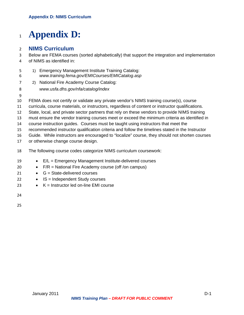# <sup>1</sup> **Appendix D:**

#### 2 **NIMS Curriculum**

3 Below are FEMA courses (sorted alphabetically) that support the integration and implementation

- 4 of NIMS as identified in:
- 5 1) Emergency Management Institute Training Catalog:
- 6 *www.training.fema.gov/EMICourses/EMICatalog.asp*
- 7 2) National Fire Academy Course Catalog:
- 8 *www.usfa.dhs.gov/nfa/catalog/index*
- 9
- 10 FEMA does not certify or validate any private vendor's NIMS training course(s), course
- 11 curricula, course materials, or instructors, regardless of content or instructor qualifications.
- 12 State, local, and private sector partners that rely on these vendors to provide NIMS training
- 13 must ensure the vendor training courses meet or exceed the minimum criteria as identified in
- 14 course instruction guides. Courses must be taught using instructors that meet the
- 15 recommended instructor qualification criteria and follow the timelines stated in the Instructor
- 16 Guide. While instructors are encouraged to "localize" course, they should not shorten courses
- 17 or otherwise change course design.
- 18 The following course codes categorize NIMS curriculum coursework:
- 19 • E/L = Emergency Management Institute-delivered courses
- 20 • F/R = National Fire Academy course (off /on campus)
- 21 • G = State-delivered courses
- 22 • IS = Independent Study courses
- 23  $\bullet$  K = Instructor led on-line EMI course
- 24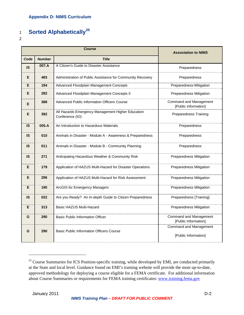# **Sorted Alphabetically**<sup>[25](#page-48-0)</sup>

2

| <b>Course</b> |               |                                                                      | <b>Association to NIMS</b>                     |
|---------------|---------------|----------------------------------------------------------------------|------------------------------------------------|
| Code          | <b>Number</b> | <b>Title</b>                                                         |                                                |
| IS            | 007.A         | A Citizen's Guide to Disaster Assistance                             | Preparedness                                   |
| Е             | 483           | Administration of Public Assistance for Community Recovery           | Preparedness                                   |
| Е             | 194           | Advanced Floodplain Management Concepts                              | Preparedness-Mitigation                        |
| Е             | 282           | Advanced Floodplain Management Concepts II                           | Preparedness Mitigation                        |
| Е             | 388           | <b>Advanced Public Information Officers Course</b>                   | Command and Management<br>[Public Information] |
| Е             | 392           | All Hazards Emergency Management Higher Education<br>Conference (IO) | Preparedness Training                          |
| IS            | 005.A         | An Introduction to Hazardous Materials                               | Preparedness                                   |
| IS            | 010           | Animals in Disaster - Module A - Awareness & Preparedness            | Preparedness                                   |
| IS            | 011           | Animals in Disaster - Module B - Community Planning                  | Preparedness                                   |
| IS            | 271           | Anticipating Hazardous Weather & Community Risk                      | Preparedness Mitigation                        |
| Е             | 179           | Application of HAZUS Multi-Hazard for Disaster Operations            | Preparedness Mitigation                        |
| Е             | 296           | Application of HAZUS Multi-Hazard for Risk Assessment                | <b>Preparedness Mitigation</b>                 |
| Е             | 190           | <b>ArcGIS for Emergency Managers</b>                                 | Preparedness Mitigation                        |
| IS            | 022           | Are you Ready? An In-depth Guide to Citizen Preparedness             | Preparedness [Training]                        |
| Е             | 313           | Basic HAZUS Multi-Hazard                                             | Preparedness Mitigation                        |
| G             | 290           | <b>Basic Public Information Officer</b>                              | Command and Management<br>[Public Information] |
| G             | 290           | <b>Basic Public Information Officers Course</b>                      | Command and Management<br>[Public Information] |

<span id="page-48-0"></span><sup>&</sup>lt;sup>25</sup> Course Summaries for ICS Position-specific training, while developed by EMI, are conducted primarily at the State and local level. Guidance found on EMI's training website will provide the most up-to-date, approved methodology for deploying a course eligible for a FEMA certificate. For additional information about Course Summaries or requirements for FEMA training certificates: [www.training.fema.gov](http://www.training.fema.gov/)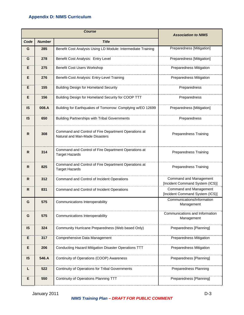|           |               | <b>Course</b>                                                                          | <b>Association to NIMS</b>                                |
|-----------|---------------|----------------------------------------------------------------------------------------|-----------------------------------------------------------|
| Code      | <b>Number</b> | <b>Title</b>                                                                           |                                                           |
| G         | 285           | Benefit Cost Analysis Using LD Module: Intermediate Training                           | Preparedness [Mitigation]                                 |
| G         | 278           | Benefit Cost Analysis: Entry Level                                                     | Preparedness [Mitigation]                                 |
| Е         | 275           | <b>Benefit Cost Users Workshop</b>                                                     | Preparedness Mitigation                                   |
| Е         | 276           | Benefit-Cost Analysis: Entry-Level Training                                            | Preparedness Mitigation                                   |
| Е         | 155           | <b>Building Design for Homeland Security</b>                                           | Preparedness                                              |
| Е         | 156           | Building Design for Homeland Security for COOP TTT                                     | Preparedness                                              |
| IS        | 008.A         | Building for Earthquakes of Tomorrow: Complying w/EO 12699                             | Preparedness [Mitigation]                                 |
| IS        | 650           | <b>Building Partnerships with Tribal Governments</b>                                   | Preparedness                                              |
| R         | 308           | Command and Control of Fire Department Operations at<br>Natural and Man-Made Disasters | Preparedness Training                                     |
| R         | 314           | Command and Control of Fire Department Operations at<br><b>Target Hazards</b>          | Preparedness Training                                     |
| R         | 825           | Command and Control of Fire Department Operations at<br><b>Target Hazards</b>          | <b>Preparedness Training</b>                              |
| R         | 312           | Command and Control of Incident Operations                                             | Command and Management<br>[Incident Command System (ICS)] |
| R         | 831           | Command and Control of Incident Operations                                             | Command and Management<br>[Incident Command System (ICS)] |
| G         | 575           | Communications Interoperability                                                        | Communications/Information<br>Management                  |
| G         | 575           | Communications Interoperability                                                        | Communications and Information<br>Management              |
| <b>IS</b> | 324           | Community Hurricane Preparedness (Web based Only)                                      | Preparedness [Planning]                                   |
| Е         | 317           | Comprehensive Data Management                                                          | Preparedness Mitigation                                   |
| Е         | 206           | Conducting Hazard Mitigation Disaster Operations TTT                                   | Preparedness Mitigation                                   |
| <b>IS</b> | 546.A         | Continuity of Operations (COOP) Awareness                                              | Preparedness [Planning]                                   |
|           | 522           | Continuity of Operations for Tribal Governments                                        | Preparedness Planning                                     |
| Е         | 550           | Continuity of Operations Planning TTT                                                  | Preparedness [Planning]                                   |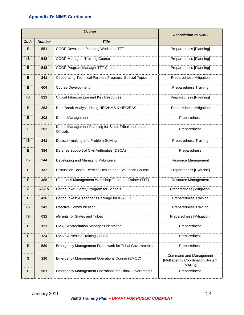|           |               | <b>Course</b>                                                              | <b>Association to NIMS</b>                                            |
|-----------|---------------|----------------------------------------------------------------------------|-----------------------------------------------------------------------|
| Code      | <b>Number</b> | <b>Title</b>                                                               |                                                                       |
| E         | 551           | COOP Devolution Planning Workshop TTT                                      | Preparedness [Planning]                                               |
| <b>IS</b> | 548           | <b>COOP Managers Training Course</b>                                       | Preparedness [Planning]                                               |
| Е.        | 548           | COOP Program Manager TTT Course                                            | Preparedness [Planning]                                               |
| Е         | 241           | Cooperating Technical Partners Program: Special Topics                     | Preparedness Mitigation                                               |
| Е         | 604           | <b>Course Development</b>                                                  | <b>Preparedness Training</b>                                          |
| IS        | 821           | Critical Infrastructure and Key Resources                                  | Preparedness [Planning]                                               |
| Е         | 263           | Dam Break Analysis Using HEC/HMS & HEC/RAS                                 | Preparedness Mitigation                                               |
| Е         | 202           | Debris Management                                                          | Preparedness                                                          |
| G         | 202           | Debris Management Planning for State, Tribal and Local<br><b>Officials</b> | Preparedness                                                          |
| IS        | 241           | Decision-making and Problem-Solving                                        | <b>Preparedness Training</b>                                          |
| Е         | 384           | Defense Support of Civil Authorities (DSCA)                                | Preparedness                                                          |
| IS        | 244           | Developing and Managing Volunteers                                         | Resource Management                                                   |
| Е         | 132           | Discussion-Based Exercise Design and Evaluation Course                     | Preparedness [Exercise]                                               |
| Е         | 488           | Donations Management Workshop Train-the-Trainer (TTT)                      | Resource Management                                                   |
| G         | 434.A         | Earthquake: Safety Program for Schools                                     | Preparedness [Mitigation]                                             |
| Е         | 436           | Earthquakes: A Teacher's Package for K-6 TTT                               | <b>Preparedness Training</b>                                          |
| IS        | 242           | Effective Communication                                                    | Preparedness Fraining                                                 |
| <b>IS</b> | 031           | eGrants for States and Tribes                                              | Preparedness [Mitigation]                                             |
| Е.        | 123           | <b>EMAP Accreditation Manager Orientation</b>                              | Preparedness                                                          |
| Е         | 124           | <b>EMAP Assessor Training Course</b>                                       | Preparedness                                                          |
| Е         | 580           | <b>Emergency Management Framework for Tribal Governments</b>               | Preparedness                                                          |
| G         | 110           | <b>Emergency Management Operations Course (EMOC)</b>                       | Command and Management<br>[Multiagency Coordination System<br>(MACS)] |
| Е         | 581           | <b>Emergency Management Operations for Tribal Governments</b>              | Preparedness                                                          |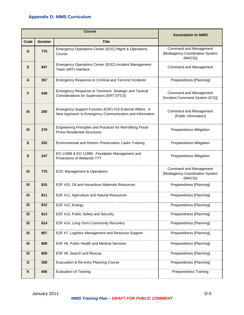|           |               | <b>Course</b>                                                                                                       | <b>Association to NIMS</b>                                           |
|-----------|---------------|---------------------------------------------------------------------------------------------------------------------|----------------------------------------------------------------------|
| Code      | <b>Number</b> | <b>Title</b>                                                                                                        |                                                                      |
| G         | 775           | Emergency Operations Center (EOC) Mgmt & Operations<br>Course                                                       | Command and Management<br>[Multiagency Coordination System<br>(MACS) |
| Е         | 947           | Emergency Operations Center (EOC)-Incident Management<br>Team (IMT) Interface                                       | Command and Management                                               |
| G         | 357           | Emergency Response to Criminal and Terrorist Incidents                                                              | Preparedness [Planning]                                              |
| F         | 549           | Emergency Response to Terrorism: Strategic and Tactical<br>Considerations for Supervisors (ERT:STCS)                | Command and Management<br>[Incident Command System (ICS)]            |
| <b>IS</b> | 250           | Emergency Support Function (ESF) #15 External Affairs: A<br>New Approach to Emergency Communication and Information | Command and Management<br>[Public Information]                       |
| <b>IS</b> | 279           | Engineering Principles and Practices for Retrofitting Flood-<br><b>Prone Residential Structures</b>                 | Preparedness Mitigation                                              |
| Е         | 252           | Environmental and Historic Preservation Cadre Training                                                              | Preparedness Mitigation                                              |
| E         | 247           | EO 11988 & EO 11990: Floodplain Management and<br>Protections of Wetlands TTT                                       | Preparedness Mitigation                                              |
| <b>IS</b> | 775           | <b>EOC Management &amp; Operations</b>                                                                              | Command and Management<br>[Multiagency Coordination System<br>(MACS) |
| <b>IS</b> | 810           | ESF #10, Oil and Hazardous Materials Resources                                                                      | Preparedness [Planning]                                              |
| IS        | 811           | ESF #11, Agriculture and Natural Resources                                                                          | Preparedness [Planning]                                              |
| <b>IS</b> | 812           | ESF #12, Energy                                                                                                     | Preparedness [Planning]                                              |
| <b>IS</b> | 813           | ESF #13, Public Safety and Security                                                                                 | Preparedness [Planning]                                              |
| <b>IS</b> | 814           | ESF #14, Long-Term Community Recovery                                                                               | Preparedness [Planning]                                              |
| <b>IS</b> | 807           | ESF #7, Logistics Management and Resource Support                                                                   | Preparedness [Planning]                                              |
| <b>IS</b> | 808           | ESF #8, Public Health and Medical Services                                                                          | Preparedness [Planning]                                              |
| <b>IS</b> | 809           | ESF #9, Search and Rescue                                                                                           | Preparedness [Planning]                                              |
| G         | 358           | Evacuation & Re-entry Planning Course                                                                               | Preparedness [Planning]                                              |
| K         | 606           | <b>Evaluation of Training</b>                                                                                       | Preparedness Training                                                |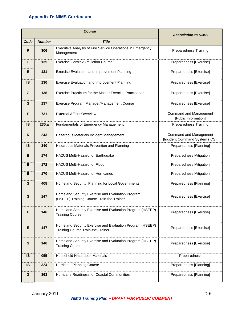|           |               | <b>Course</b>                                                                                  | <b>Association to NIMS</b>                                |
|-----------|---------------|------------------------------------------------------------------------------------------------|-----------------------------------------------------------|
| Code      | <b>Number</b> | <b>Title</b>                                                                                   |                                                           |
| R.        | 306           | Executive Analysis of Fire Service Operations in Emergency<br>Management                       | <b>Preparedness Training</b>                              |
| G         | 135           | <b>Exercise Control/Simulation Course</b>                                                      | Preparedness [Exercise]                                   |
| Е         | 131           | <b>Exercise Evaluation and Improvement Planning</b>                                            | Preparedness [Exercise]                                   |
| IS        | 130           | Exercise Evaluation and Improvement Planning                                                   | Preparedness [Exercise]                                   |
| G         | 138           | Exercise Practicum for the Master Exercise Practitioner                                        | Preparedness [Exercise]                                   |
| G         | 137           | Exercise Program Manager/Management Course                                                     | Preparedness [Exercise]                                   |
| Е         | 731           | <b>External Affairs Overview</b>                                                               | Command and Management<br>[Public Information]            |
| IS        | 230.a         | Fundamentals of Emergency Management                                                           | Preparedness Training                                     |
| R.        | 243           | Hazardous Materials Incident Management                                                        | Command and Management<br>[Incident Command System (ICS)] |
| IS        | 340           | Hazardous Materials Prevention and Planning                                                    | Preparedness [Planning]                                   |
| Е         | 174           | HAZUS Multi-Hazard for Earthquake                                                              | Preparedness Mitigation                                   |
| Е         | 172           | HAZUS Multi-Hazard for Flood                                                                   | Preparedness Mitigation                                   |
| Е         | 170           | <b>HAZUS Multi-Hazard for Hurricanes</b>                                                       | Preparedness Mitigation                                   |
| G         | 408           | Homeland Security Planning for Local Governments                                               | Preparedness [Planning]                                   |
| G         | 147           | Homeland Security Exercise and Evaluation Program<br>(HSEEP) Training Course Train-the-Trainer | Preparedness [Exercise]                                   |
| Е         | 146           | Homeland Security Exercise and Evaluation Program (HSEEP)<br><b>Training Course</b>            | Preparedness [Exercise]                                   |
| Е         | 147           | Homeland Security Exercise and Evaluation Program (HSEEP)<br>Training Course Train-the-Trainer | Preparedness [Exercise]                                   |
| G         | 146           | Homeland Security Exercise and Evaluation Program (HSEEP)<br><b>Training Course</b>            | Preparedness [Exercise]                                   |
| <b>IS</b> | 055           | <b>Household Hazardous Materials</b>                                                           | Preparedness                                              |
| <b>IS</b> | 324           | Hurricane Planning Course                                                                      | Preparedness [Planning]                                   |
| G         | 363           | Hurricane Readiness for Coastal Communities                                                    | Preparedness [Planning]                                   |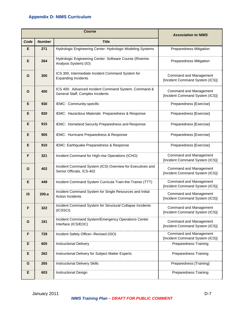|           |               | <b>Course</b>                                                                            | <b>Association to NIMS</b>                                |
|-----------|---------------|------------------------------------------------------------------------------------------|-----------------------------------------------------------|
| Code      | <b>Number</b> | <b>Title</b>                                                                             |                                                           |
| Е         | 271           | Hydrologic Engineering Center: Hydrologic Modeling Systems                               | Preparedness Mitigation                                   |
| Е         | 264           | Hydrologic Engineering Center: Software Course (Riverine<br>Analysis System) (IO)        | Preparedness Mitigation                                   |
| G         | 300           | ICS 300, Intermediate Incident Command System for<br><b>Expanding Incidents</b>          | Command and Management<br>[Incident Command System (ICS)] |
| G         | 400           | ICS 400: Advanced Incident Command System, Command &<br>General Staff, Complex Incidents | Command and Management<br>[Incident Command System (ICS)] |
| Е         | 930           | IEMC: Community-specific                                                                 | Preparedness [Exercise]                                   |
| Е         | 920           | IEMC: Hazardous Materials Preparedness & Response                                        | Preparedness [Exercise]                                   |
| Е         | 915           | IEMC: Homeland Security Preparedness and Response                                        | Preparedness [Exercise]                                   |
| Е         | 905           | IEMC: Hurricane Preparedness & Response                                                  | Preparedness [Exercise]                                   |
| Е         | 910           | IEMC: Earthquake Preparedness & Response                                                 | Preparedness [Exercise]                                   |
| F         | 321           | Incident Command for High-rise Operations (ICHO)                                         | Command and Management<br>[Incident Command System (ICS)] |
| G         | 402           | Incident Command System (ICS) Overview for Executives and<br>Senior Officials, ICS-402   | Command and Management<br>[Incident Command System (ICS)] |
| Е         | 449           | Incident Command System Curricula Train-the-Trainer (TTT)                                | Command and Management<br>[Incident Command System (ICS)] |
| <b>IS</b> | 200.a         | Incident Command System for Single Resources and Initial<br><b>Action Incidents</b>      | Command and Management<br>[Incident Command System (ICS)] |
|           | 322           | Incident Command System for Structural Collapse Incidents<br>(ICSSCI)                    | Command and Management<br>[Incident Command System (ICS)] |
| G         | 191           | Incident Command System/Emergency Operations Center<br>Interface (ICS/EOC)               | Command and Management<br>[Incident Command System (ICS)] |
| F         | 729           | Incident Safety Officer--Revised (ISO)                                                   | Command and Management<br>[Incident Command System (ICS)] |
| Е         | 605           | <b>Instructional Delivery</b>                                                            | <b>Preparedness Training</b>                              |
| Е         | 262           | Instructional Delivery for Subject Matter Experts                                        | <b>Preparedness Training</b>                              |
| G         | 265           | <b>Instructional Delivery Skills</b>                                                     | Preparedness [Training]                                   |
| Е         | 603           | Instructional Design                                                                     | <b>Preparedness Training</b>                              |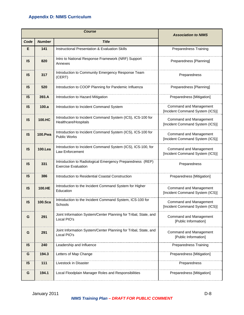|           |                | <b>Course</b>                                                                           | <b>Association to NIMS</b>                                |
|-----------|----------------|-----------------------------------------------------------------------------------------|-----------------------------------------------------------|
| Code      | <b>Number</b>  | <b>Title</b>                                                                            |                                                           |
| E         | 141            | <b>Instructional Presentation &amp; Evaluation Skills</b>                               | <b>Preparedness Training</b>                              |
| IS        | 820            | Intro to National Response Framework (NRF) Support<br>Annexes                           | Preparedness [Planning]                                   |
| IS        | 317            | Introduction to Community Emergency Response Team<br>(CERT)                             | Preparedness                                              |
| IS        | 520            | Introduction to COOP Planning for Pandemic Influenza                                    | Preparedness [Planning]                                   |
| IS.       | 393.A          | Introduction to Hazard Mitigation                                                       | Preparedness [Mitigation]                                 |
| IS        | 100.a          | Introduction to Incident Command System                                                 | Command and Management<br>[Incident Command System (ICS)] |
| <b>IS</b> | 100.HC         | Introduction to Incident Command System (ICS), ICS-100 for<br>Healthcare/Hospitals      | Command and Management<br>[Incident Command System (ICS)] |
| IS        | 100.Pwa        | Introduction to Incident Command System (ICS), ICS-100 for<br>Public Works              | Command and Management<br>[Incident Command System (ICS)] |
| IS        | <b>100.Lea</b> | Introduction to Incident Command System (ICS), ICS-100, for<br>Law Enforcement          | Command and Management<br>[Incident Command System (ICS)] |
| <b>IS</b> | 331            | Introduction to Radiological Emergency Preparedness (REP)<br><b>Exercise Evaluation</b> | Preparedness                                              |
| IS.       | 386            | Introduction to Residential Coastal Construction                                        | Preparedness [Mitigation]                                 |
| <b>IS</b> | 100.HE         | Introduction to the Incident Command System for Higher<br>Education                     | Command and Management<br>[Incident Command System (ICS)] |
| <b>IS</b> | 100.Sca        | Introduction to the Incident Command System, ICS-100 for<br>Schools                     | Command and Management<br>[Incident Command System (ICS)] |
| G         | 291            | Joint Information System/Center Planning for Tribal, State, and<br>Local PIO's          | Command and Management<br>[Public Information]            |
| G         | 291            | Joint Information System/Center Planning for Tribal, State, and<br>Local PIO's          | Command and Management<br>[Public Information]            |
| <b>IS</b> | 240            | Leadership and Influence                                                                | <b>Preparedness Training</b>                              |
| G         | 194.3          | Letters of Map Change                                                                   | Preparedness [Mitigation]                                 |
| <b>IS</b> | 111            | Livestock in Disaster                                                                   | Preparedness                                              |
| G         | 194.1          | Local Floodplain Manager Roles and Responsibilities                                     | Preparedness [Mitigation]                                 |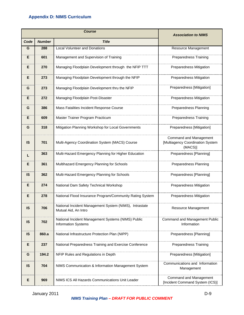|           |               | <b>Course</b>                                                                    | <b>Association to NIMS</b>                                            |
|-----------|---------------|----------------------------------------------------------------------------------|-----------------------------------------------------------------------|
| Code      | <b>Number</b> | <b>Title</b>                                                                     |                                                                       |
| G         | 288           | <b>Local Volunteer and Donations</b>                                             | Resource Management                                                   |
| Е         | 601           | Management and Supervision of Training                                           | Preparedness Training                                                 |
| Е         | 270           | Managing Floodplain Development through the NFIP TTT                             | Preparedness Mitigation                                               |
| Е         | 273           | Managing Floodplain Development through the NFIP                                 | Preparedness Mitigation                                               |
| G         | 273           | Managing Floodplain Development thru the NFIP                                    | Preparedness [Mitigation]                                             |
| Е         | 272           | Managing Floodplain Post-Disaster                                                | Preparedness Mitigation                                               |
| G         | 386           | Mass Fatalities Incident Response Course                                         | Preparedness Planning                                                 |
| Е         | 609           | Master Trainer Program Practicum                                                 | Preparedness Training                                                 |
| G         | 318           | Mitigation Planning Workshop for Local Governments                               | Preparedness [Mitigation]                                             |
| <b>IS</b> | 701           | Multi-Agency Coordination System (MACS) Course                                   | Command and Management<br>[Multiagency Coordination System<br>(MACS)] |
|           | 363           | Multi-Hazard Emergency Planning for Higher Education                             | Preparedness [Planning]                                               |
| Е         | 361           | Multihazard Emergency Planning for Schools                                       | Preparedness Planning                                                 |
| IS        | 362           | Multi-Hazard Emergency Planning for Schools                                      | Preparedness [Planning]                                               |
| Е         | 274           | National Dam Safety Technical Workshop                                           | Preparedness Mitigation                                               |
| Е         | 278           | National Flood Insurance Program/Community Rating System                         | Preparedness Mitigation                                               |
| IS        | 706           | National Incident Management System (NIMS), Intrastate<br>Mutual Aid, An Intro   | Resource Management                                                   |
| <b>IS</b> | 702           | National Incident Management Systems (NIMS) Public<br><b>Information Systems</b> | Command and Management Public<br>Information                          |
| <b>IS</b> | 860.a         | National Infrastructure Protection Plan (NIPP)                                   | Preparedness [Planning]                                               |
| Е         | 237           | National Preparedness Training and Exercise Conference                           | <b>Preparedness Training</b>                                          |
| G         | 194.2         | NFIP Rules and Regulations in Depth                                              | Preparedness [Mitigation]                                             |
| <b>IS</b> | 704           | NIMS Communication & Information Management System                               | Communications and Information<br>Management                          |
| Е         | 969           | NIMS ICS All Hazards Communications Unit Leader                                  | Command and Management<br>[Incident Command System (ICS)]             |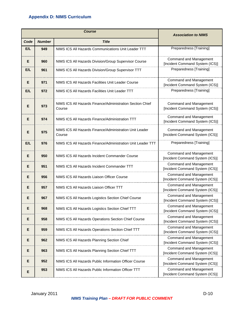|      |               | <b>Course</b>                                                       | <b>Association to NIMS</b>                                |
|------|---------------|---------------------------------------------------------------------|-----------------------------------------------------------|
| Code | <b>Number</b> | <b>Title</b>                                                        |                                                           |
| E/L  | 949           | NIMS ICS All Hazards Communications Unit Leader TTT                 | Preparedness [Training]                                   |
| Е    | 960           | NIMS ICS All Hazards Division/Group Supervisor Course               | Command and Management<br>[Incident Command System (ICS)] |
| E/L  | 961           | NIMS ICS All Hazards Division/Group Supervisor TTT                  | Preparedness [Training]                                   |
| E    | 971           | NIMS ICS All Hazards Facilities Unit Leader Course                  | Command and Management<br>[Incident Command System (ICS)] |
| E/L  | 972           | NIMS ICS All Hazards Facilities Unit Leader TTT                     | Preparedness [Training]                                   |
| Е    | 973           | NIMS ICS All Hazards Finance/Administration Section Chief<br>Course | Command and Management<br>[Incident Command System (ICS)] |
| Е    | 974           | NIMS ICS All Hazards Finance/Administration TTT                     | Command and Management<br>[Incident Command System (ICS)] |
| Е    | 975           | NIMS ICS All Hazards Finance/Administration Unit Leader<br>Course   | Command and Management<br>[Incident Command System (ICS)] |
| E/L  | 976           | NIMS ICS All Hazards Finance/Administration Unit Leader TTT         | Preparedness [Training]                                   |
| Е    | 950           | NIMS ICS All Hazards Incident Commander Course                      | Command and Management<br>[Incident Command System (ICS)] |
| E    | 951           | NIMS ICS All Hazards Incident Commander TTT                         | Command and Management<br>[Incident Command System (ICS)] |
| Е    | 956           | NIMS ICS All Hazards Liaison Officer Course                         | Command and Management<br>[Incident Command System (ICS)] |
| Е    | 957           | NIMS ICS All Hazards Liaison Officer TTT                            | Command and Management<br>[Incident Command System (ICS)] |
| E    | 967           | NIMS ICS All Hazards Logistics Section Chief Course                 | Command and Management<br>[Incident Command System (ICS)] |
| Е    | 968           | NIMS ICS All Hazards Logistics Section Chief TTT                    | Command and Management<br>[Incident Command System (ICS)] |
| Е    | 958           | NIMS ICS All Hazards Operations Section Chief Course                | Command and Management<br>[Incident Command System (ICS)] |
| Е    | 959           | NIMS ICS All Hazards Operations Section Chief TTT                   | Command and Management<br>[Incident Command System (ICS)] |
| Е    | 962           | NIMS ICS All Hazards Planning Section Chief                         | Command and Management<br>[Incident Command System (ICS)] |
| Е    | 963           | NIMS ICS All Hazards Planning Section Chief TTT                     | Command and Management<br>[Incident Command System (ICS)] |
| Е    | 952           | NIMS ICS All Hazards Public Information Officer Course              | Command and Management<br>[Incident Command System (ICS)] |
| Е    | 953           | NIMS ICS All Hazards Public Information Officer TTT                 | Command and Management<br>[Incident Command System (ICS)] |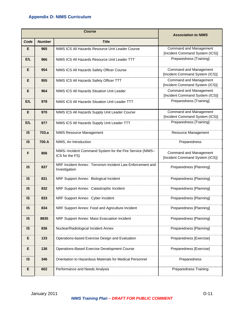|           |               | <b>Course</b>                                                                 | <b>Association to NIMS</b>                                |
|-----------|---------------|-------------------------------------------------------------------------------|-----------------------------------------------------------|
| Code      | <b>Number</b> | <b>Title</b>                                                                  |                                                           |
| E         | 965           | NIMS ICS All Hazards Resource Unit Leader Course                              | Command and Management<br>[Incident Command System (ICS)] |
| E/L       | 966           | NIMS ICS All Hazards Resource Unit Leader TTT                                 | Preparedness [Training]                                   |
| Е         | 954           | NIMS ICS All Hazards Safety Officer Course                                    | Command and Management<br>[Incident Command System (ICS)] |
| Е         | 955           | NIMS ICS All Hazards Safety Officer TTT                                       | Command and Management<br>[Incident Command System (ICS)] |
| Е         | 964           | NIMS ICS All Hazards Situation Unit Leader                                    | Command and Management<br>[Incident Command System (ICS)] |
| E/L       | 978           | NIMS ICS All Hazards Situation Unit Leader TTT                                | Preparedness [Training]                                   |
| E         | 970           | NIMS ICS All Hazards Supply Unit Leader Course                                | Command and Management<br>[Incident Command System (ICS)] |
| E/L       | 977           | NIMS ICS All Hazards Supply Unit Leader TTT                                   | Preparedness [Training]                                   |
| IS        | 703.a         | <b>NIMS Resource Management</b>                                               | Resource Management                                       |
| IS.       | 700.A         | NIMS, An Introduction                                                         | Preparedness                                              |
| F         | 806           | NIMS--Incident Command System for the Fire Service (NIMS--<br>ICS for the FS) | Command and Management<br>[Incident Command System (ICS)] |
| <b>IS</b> | 837           | NRF Incident Annex: Terrorism Incident Law Enforcement and<br>Investigation   | Preparedness [Planning]                                   |
| IS        | 831           | NRF Support Annex: Biological Incident                                        | Preparedness [Planning]                                   |
| IS        | 832           | NRF Support Annex: Catastrophic Incident                                      | Preparedness [Planning]                                   |
| IS        | 833           | NRF Support Annex: Cyber Incident                                             | Preparedness [Planning]                                   |
| <b>IS</b> | 834           | NRF Support Annex: Food and Agriculture Incident                              | Preparedness [Planning]                                   |
| <b>IS</b> | 8835          | NRF Support Annex: Mass Evacuation Incident                                   | Preparedness [Planning]                                   |
| <b>IS</b> | 836           | Nuclear/Radiological Incident Annex                                           | Preparedness [Planning]                                   |
| Е         | 133           | Operations-based Exercise Design and Evaluation                               | Preparedness [Exercise]                                   |
| Е         | 136           | Operations-Based Exercise Development Course                                  | Preparedness [Exercise]                                   |
| <b>IS</b> | 346           | Orientation to Hazardous Materials for Medical Personnel                      | Preparedness                                              |
| Е         | 602           | Performance and Needs Analysis                                                | <b>Preparedness Training</b>                              |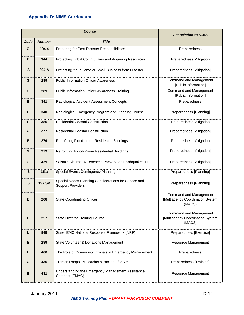| <b>Course</b> |               |                                                                                   | <b>Association to NIMS</b>                                           |
|---------------|---------------|-----------------------------------------------------------------------------------|----------------------------------------------------------------------|
| Code          | <b>Number</b> | <b>Title</b>                                                                      |                                                                      |
| G             | 194.4         | Preparing for Post-Disaster Responsibilities                                      | Preparedness                                                         |
| Е             | 344           | Protecting Tribal Communities and Acquiring Resources                             | Preparedness Mitigation                                              |
| IS            | 394.A         | Protecting Your Home or Small Business from Disaster                              | Preparedness [Mitigation]                                            |
| G             | 289           | <b>Public Information Officer Awareness</b>                                       | Command and Management<br>[Public Information]                       |
| G             | 289           | <b>Public Information Officer Awareness Training</b>                              | Command and Management<br>[Public Information]                       |
| Е             | 341           | Radiological Accident Assessment Concepts                                         | Preparedness                                                         |
| Е             | 340           | Radiological Emergency Program and Planning Course                                | Preparedness [Planning]                                              |
| Е             | 386           | <b>Residential Coastal Construction</b>                                           | Preparedness Mitigation                                              |
| G             | 277           | <b>Residential Coastal Construction</b>                                           | Preparedness [Mitigation]                                            |
| Е             | 279           | Retrofitting Flood-prone Residential Buildings                                    | Preparedness Mitigation                                              |
| G             | 279           | Retrofitting Flood-Prone Residential Buildings                                    | Preparedness [Mitigation]                                            |
| G             | 439           | Seismic Sleuths: A Teacher's Package on Earthquakes TTT                           | Preparedness [Mitigation]                                            |
| IS            | 15.a          | Special Events Contingency Planning                                               | Preparedness [Planning]                                              |
| <b>IS</b>     | 197.SP        | Special Needs Planning Considerations for Service and<br><b>Support Providers</b> | Preparedness [Planning]                                              |
| Е             | 208           | <b>State Coordinating Officer</b>                                                 | Command and Management<br>[Multiagency Coordination System<br>(MACS) |
| Е             | 257           | <b>State Director Training Course</b>                                             | Command and Management<br>[Multiagency Coordination System<br>(MACS) |
| L             | 945           | State IEMC National Response Framework (NRF)                                      | Preparedness [Exercise]                                              |
| Е             | 289           | State Volunteer & Donations Management                                            | Resource Management                                                  |
|               | 460           | The Role of Community Officials in Emergency Management                           | Preparedness                                                         |
| G             | 436           | Tremor Troops: A Teacher's Package for K-6                                        | Preparedness [Training]                                              |
| Е             | 431           | Understanding the Emergency Management Assistance<br>Compact (EMAC)               | Resource Management                                                  |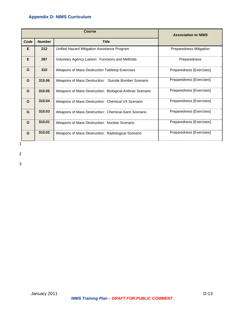|      |               | <b>Course</b>                                            | <b>Association to NIMS</b> |
|------|---------------|----------------------------------------------------------|----------------------------|
| Code | <b>Number</b> | <b>Title</b>                                             |                            |
| E.   | 212           | Unified Hazard Mitigation Assistance Program             | Preparedness Mitigation    |
| E    | 287           | Voluntary Agency Liaison: Functions and Methods          | Preparedness               |
| G    | 310           | Weapons of Mass Destruction Tabletop Exercises           | Preparedness [Exercises]   |
| G    | 310.06        | Weapons of Mass Destruction: Suicide Bomber Scenario     | Preparedness [Exercises]   |
| G    | 310.05        | Weapons of Mass Destruction: Biological-Anthrax Scenario | Preparedness [Exercises]   |
| G    | 310.04        | Weapons of Mass Destruction: Chemical VX Scenario        | Preparedness [Exercises]   |
| G    | 310.03        | Weapons of Mass Destruction: Chemical-Sarin Scenario     | Preparedness [Exercises]   |
| G    | 310.01        | Weapons of Mass Destruction: Nuclear Scenario            | Preparedness [Exercises]   |
| G    | 310.02        | Weapons of Mass Destruction: Radiological Scenario       | Preparedness [Exercises]   |

1

2

3

January 2011  $\Box$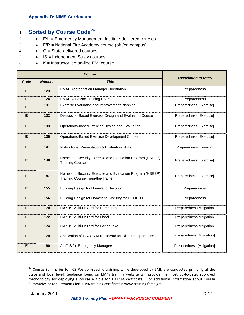# **Sorted by Course Code<sup>[26](#page-60-0)</sup>**

- 2 E/L = Emergency Management Institute-delivered courses
- 3 F/R = National Fire Academy course (off /on campus)
- 4 G = State-delivered courses
- 5 IS = Independent Study courses
- $6 \rightarrow K =$  Instructor led on-line EMI course

|      |               | <b>Association to NIMS</b>                                                                     |                              |
|------|---------------|------------------------------------------------------------------------------------------------|------------------------------|
| Code | <b>Number</b> | <b>Title</b>                                                                                   |                              |
| E    | 123           | <b>EMAP Accreditation Manager Orientation</b>                                                  | Preparedness                 |
| Е    | 124           | <b>EMAP Assessor Training Course</b>                                                           | Preparedness                 |
| E    | 131           | Exercise Evaluation and Improvement Planning                                                   | Preparedness [Exercise]      |
| Е    | 132           | Discussion-Based Exercise Design and Evaluation Course                                         | Preparedness [Exercise]      |
| Е    | 133           | Operations-based Exercise Design and Evaluation                                                | Preparedness [Exercise]      |
| Е    | 136           | Operations-Based Exercise Development Course                                                   | Preparedness [Exercise]      |
| Е    | 141           | <b>Instructional Presentation &amp; Evaluation Skills</b>                                      | <b>Preparedness Training</b> |
| E    | 146           | Homeland Security Exercise and Evaluation Program (HSEEP)<br><b>Training Course</b>            | Preparedness [Exercise]      |
| Е    | 147           | Homeland Security Exercise and Evaluation Program (HSEEP)<br>Training Course Train-the-Trainer | Preparedness [Exercise]      |
| E    | 155           | <b>Building Design for Homeland Security</b>                                                   | Preparedness                 |
| Е    | 156           | Building Design for Homeland Security for COOP TTT                                             | Preparedness                 |
| Е    | 170           | HAZUS Multi-Hazard for Hurricanes                                                              | Preparedness Mitigation      |
| Е    | 172           | <b>HAZUS Multi-Hazard for Flood</b>                                                            | Preparedness Mitigation      |
| E.   | 174           | HAZUS Multi-Hazard for Earthquake                                                              | Preparedness Mitigation      |
| Е    | 179           | Application of HAZUS Multi-Hazard for Disaster Operations                                      | Preparedness [Mitigation]    |
| Е    | 190           | <b>ArcGIS for Emergency Managers</b>                                                           | Preparedness [Mitigation]    |

<span id="page-60-0"></span><sup>&</sup>lt;sup>26</sup> Course Summaries for ICS Position-specific training, while developed by EMI, are conducted primarily at the State and local level. Guidance found on EMI's training website will provide the most up-to-date, approved methodology for deploying a course eligible for a FEMA certificate. For additional information about Course Summaries or requirements for FEMA training certificates: www.training.fema.gov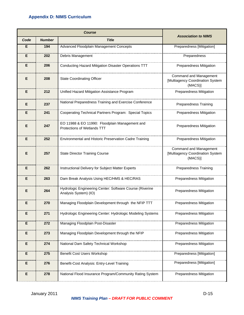| <b>Course</b> |               |                                                                                   | <b>Association to NIMS</b>                                            |
|---------------|---------------|-----------------------------------------------------------------------------------|-----------------------------------------------------------------------|
| Code          | <b>Number</b> | <b>Title</b>                                                                      |                                                                       |
| Е             | 194           | Advanced Floodplain Management Concepts                                           | Preparedness [Mitigation]                                             |
| Е             | 202           | Debris Management                                                                 | Preparedness                                                          |
| Е             | 206           | Conducting Hazard Mitigation Disaster Operations TTT                              | Preparedness Mitigation                                               |
| E             | 208           | <b>State Coordinating Officer</b>                                                 | Command and Management<br>[Multiagency Coordination System<br>(MACS)] |
| Е             | 212           | Unified Hazard Mitigation Assistance Program                                      | Preparedness Mitigation                                               |
| Е             | 237           | National Preparedness Training and Exercise Conference                            | Preparedness Training                                                 |
| Е             | 241           | Cooperating Technical Partners Program: Special Topics                            | Preparedness Mitigation                                               |
| Е             | 247           | EO 11988 & EO 11990: Floodplain Management and<br>Protections of Wetlands TTT     | Preparedness Mitigation                                               |
| E             | 252           | Environmental and Historic Preservation Cadre Training                            | Preparedness Mitigation                                               |
| Е             | 257           | <b>State Director Training Course</b>                                             | Command and Management<br>[Multiagency Coordination System<br>(MACS)  |
| Е             | 262           | Instructional Delivery for Subject Matter Experts                                 | Preparedness Training                                                 |
| E             | 263           | Dam Break Analysis Using HEC/HMS & HEC/RAS                                        | Preparedness Mitigation                                               |
| Е             | 264           | Hydrologic Engineering Center: Software Course (Riverine<br>Analysis System) (IO) | Preparedness Mitigation                                               |
| Е             | 270           | Managing Floodplain Development through the NFIP TTT                              | Preparedness Mitigation                                               |
| E             | 271           | Hydrologic Engineering Center: Hydrologic Modeling Systems                        | Preparedness Mitigation                                               |
| E.            | 272           | Managing Floodplain Post-Disaster                                                 | Preparedness Mitigation                                               |
| Е             | 273           | Managing Floodplain Development through the NFIP                                  | Preparedness Mitigation                                               |
| E             | 274           | National Dam Safety Technical Workshop                                            | Preparedness Mitigation                                               |
| E             | 275           | <b>Benefit Cost Users Workshop</b>                                                | Preparedness [Mitigation]                                             |
| Е             | 276           | Benefit-Cost Analysis: Entry-Level Training                                       | Preparedness [Mitigation]                                             |
| Е             | 278           | National Flood Insurance Program/Community Rating System                          | Preparedness Mitigation                                               |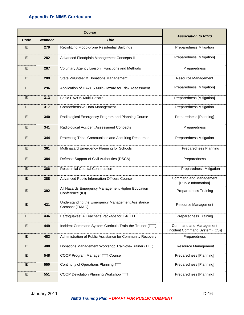| <b>Course</b> |               |                                                                      | <b>Association to NIMS</b>                                |
|---------------|---------------|----------------------------------------------------------------------|-----------------------------------------------------------|
| Code          | <b>Number</b> | <b>Title</b>                                                         |                                                           |
| Е             | 279           | Retrofitting Flood-prone Residential Buildings                       | Preparedness Mitigation                                   |
| Е             | 282           | Advanced Floodplain Management Concepts II                           | Preparedness [Mitigation]                                 |
| E             | 287           | Voluntary Agency Liaison: Functions and Methods                      | Preparedness                                              |
| E             | 289           | State Volunteer & Donations Management                               | Resource Management                                       |
| E             | 296           | Application of HAZUS Multi-Hazard for Risk Assessment                | Preparedness [Mitigation]                                 |
| Е             | 313           | Basic HAZUS Multi-Hazard                                             | Preparedness [Mitigation]                                 |
| E             | 317           | Comprehensive Data Management                                        | Preparedness Mitigation                                   |
| Е             | 340           | Radiological Emergency Program and Planning Course                   | Preparedness [Planning]                                   |
| Е             | 341           | Radiological Accident Assessment Concepts                            | Preparedness                                              |
| E             | 344           | Protecting Tribal Communities and Acquiring Resources                | Preparedness Mitigation                                   |
| Е             | 361           | Multihazard Emergency Planning for Schools                           | Preparedness Planning                                     |
| E             | 384           | Defense Support of Civil Authorities (DSCA)                          | Preparedness                                              |
| E             | 386           | <b>Residential Coastal Construction</b>                              | Preparedness Mitigation                                   |
| Е             | 388           | <b>Advanced Public Information Officers Course</b>                   | Command and Management<br>[Public Information]            |
| E             | 392           | All Hazards Emergency Management Higher Education<br>Conference (IO) | Preparedness Training                                     |
| Е             | 431           | Understanding the Emergency Management Assistance<br>Compact (EMAC)  | Resource Management                                       |
| Е             | 436           | Earthquakes: A Teacher's Package for K-6 TTT                         | Preparedness Training                                     |
| Е             | 449           | Incident Command System Curricula Train-the-Trainer (TTT)            | Command and Management<br>[Incident Command System (ICS)] |
| Е             | 483           | Administration of Public Assistance for Community Recovery           | Preparedness                                              |
| Е             | 488           | Donations Management Workshop Train-the-Trainer (TTT)                | Resource Management                                       |
| Е             | 548           | COOP Program Manager TTT Course                                      | Preparedness [Planning]                                   |
| Е             | 550           | Continuity of Operations Planning TTT                                | Preparedness [Planning]                                   |
| Е             | 551           | COOP Devolution Planning Workshop TTT                                | Preparedness [Planning]                                   |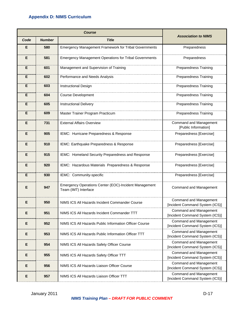| <b>Course</b> |               |                                                                               | <b>Association to NIMS</b>                                       |
|---------------|---------------|-------------------------------------------------------------------------------|------------------------------------------------------------------|
| Code          | <b>Number</b> | <b>Title</b>                                                                  |                                                                  |
| Е             | 580           | <b>Emergency Management Framework for Tribal Governments</b>                  | Preparedness                                                     |
| Е             | 581           | <b>Emergency Management Operations for Tribal Governments</b>                 | Preparedness                                                     |
| E             | 601           | Management and Supervision of Training                                        | Preparedness Training                                            |
| E             | 602           | Performance and Needs Analysis                                                | <b>Preparedness Training</b>                                     |
| Е             | 603           | Instructional Design                                                          | Preparedness Training                                            |
| E             | 604           | <b>Course Development</b>                                                     | <b>Preparedness Training</b>                                     |
| Е             | 605           | <b>Instructional Delivery</b>                                                 | <b>Preparedness Training</b>                                     |
| Е             | 609           | Master Trainer Program Practicum                                              | <b>Preparedness Training</b>                                     |
| Е             | 731           | <b>External Affairs Overview</b>                                              | Command and Management<br>[Public Information]                   |
| Е             | 905           | IEMC: Hurricane Preparedness & Response                                       | Preparedness [Exercise]                                          |
| E             | 910           | IEMC: Earthquake Preparedness & Response                                      | Preparedness [Exercise]                                          |
| Е             | 915           | IEMC: Homeland Security Preparedness and Response                             | Preparedness [Exercise]                                          |
| Е             | 920           | IEMC: Hazardous Materials Preparedness & Response                             | Preparedness [Exercise]                                          |
| E             | 930           | IEMC: Community-specific                                                      | Preparedness [Exercise]                                          |
| E             | 947           | Emergency Operations Center (EOC)-Incident Management<br>Team (IMT) Interface | Command and Management                                           |
| E             | 950           | NIMS ICS All Hazards Incident Commander Course                                | Command and Management<br>[Incident Command System (ICS)]        |
| Е             | 951           | NIMS ICS All Hazards Incident Commander TTT                                   | Command and Management<br>[Incident Command System (ICS)]        |
| Е             | 952           | NIMS ICS All Hazards Public Information Officer Course                        | Command and Management<br>[Incident Command System (ICS)]        |
| E             | 953           | NIMS ICS All Hazards Public Information Officer TTT                           | Command and Management<br>[Incident Command System (ICS)]        |
| Е             | 954           | NIMS ICS All Hazards Safety Officer Course                                    | <b>Command and Management</b><br>[Incident Command System (ICS)] |
| Е             | 955           | NIMS ICS All Hazards Safety Officer TTT                                       | Command and Management<br>[Incident Command System (ICS)]        |
| Е             | 956           | NIMS ICS All Hazards Liaison Officer Course                                   | Command and Management<br>[Incident Command System (ICS)]        |
| Е             | 957           | NIMS ICS All Hazards Liaison Officer TTT                                      | Command and Management<br>[Incident Command System (ICS)]        |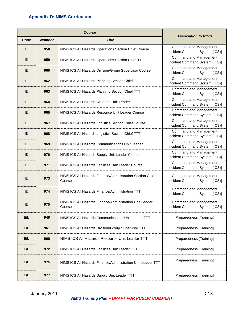| <b>Course</b> |               |                                                             | <b>Association to NIMS</b>                                |
|---------------|---------------|-------------------------------------------------------------|-----------------------------------------------------------|
| Code          | <b>Number</b> | <b>Title</b>                                                |                                                           |
| E             | 958           | NIMS ICS All Hazards Operations Section Chief Course        | Command and Management<br>[Incident Command System (ICS)] |
| Е             | 959           | NIMS ICS All Hazards Operations Section Chief TTT           | Command and Management                                    |
|               |               |                                                             | [Incident Command System (ICS)]                           |
| Е             | 960           | NIMS ICS All Hazards Division/Group Supervisor Course       | Command and Management<br>[Incident Command System (ICS)] |
|               |               |                                                             | Command and Management                                    |
| E             | 962           | NIMS ICS All Hazards Planning Section Chief                 | [Incident Command System (ICS)]                           |
| Е             | 963           |                                                             | Command and Management                                    |
|               |               | NIMS ICS All Hazards Planning Section Chief TTT             | [Incident Command System (ICS)]                           |
| E             | 964           | NIMS ICS All Hazards Situation Unit Leader                  | Command and Management                                    |
|               |               |                                                             | [Incident Command System (ICS)]<br>Command and Management |
| Е             | 965           | NIMS ICS All Hazards Resource Unit Leader Course            | [Incident Command System (ICS)]                           |
|               |               |                                                             | Command and Management                                    |
| Е             | 967           | NIMS ICS All Hazards Logistics Section Chief Course         | [Incident Command System (ICS)]                           |
| E             | 968           | NIMS ICS All Hazards Logistics Section Chief TTT            | Command and Management                                    |
|               |               |                                                             | [Incident Command System (ICS)]                           |
| Е             | 969           | NIMS ICS All Hazards Communications Unit Leader             | Command and Management<br>[Incident Command System (ICS)] |
|               |               |                                                             | Command and Management                                    |
| Е             | 970           | NIMS ICS All Hazards Supply Unit Leader Course              | [Incident Command System (ICS)]                           |
| Е             | 971           | NIMS ICS All Hazards Facilities Unit Leader Course          | Command and Management                                    |
|               |               |                                                             | [Incident Command System (ICS)]                           |
| Е             | 973           | NIMS ICS All Hazards Finance/Administration Section Chief   | Command and Management                                    |
|               |               | Course                                                      | [Incident Command System (ICS)]                           |
| Е             | 974           | NIMS ICS All Hazards Finance/Administration TTT             | Command and Management                                    |
|               |               |                                                             | [Incident Command System (ICS)]                           |
| E             | 975           | NIMS ICS All Hazards Finance/Administration Unit Leader     | <b>Command and Management</b>                             |
|               |               | Course                                                      | [Incident Command System (ICS)]                           |
| E/L           | 949           | NIMS ICS All Hazards Communications Unit Leader TTT         | Preparedness [Training]                                   |
|               |               |                                                             |                                                           |
| E/L           | 961           | NIMS ICS All Hazards Division/Group Supervisor TTT          | Preparedness [Training]                                   |
| E/L           | 966           | NIMS ICS All Hazards Resource Unit Leader TTT               | Preparedness [Training]                                   |
| E/L           | 972           | NIMS ICS All Hazards Facilities Unit Leader TTT             | Preparedness [Training]                                   |
| E/L           | 976           | NIMS ICS All Hazards Finance/Administration Unit Leader TTT | Preparedness [Training]                                   |
| E/L           | 977           | NIMS ICS All Hazards Supply Unit Leader TTT                 | Preparedness [Training]                                   |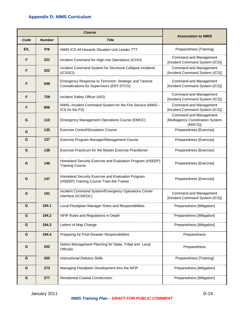| <b>Course</b> |               |                                                                                                      | <b>Association to NIMS</b>                                           |
|---------------|---------------|------------------------------------------------------------------------------------------------------|----------------------------------------------------------------------|
| Code          | <b>Number</b> | <b>Title</b>                                                                                         |                                                                      |
| E/L           | 978           | NIMS ICS All Hazards Situation Unit Leader TTT                                                       | Preparedness [Training]                                              |
| F             | 321           | Incident Command for High-rise Operations (ICHO)                                                     | Command and Management<br>[Incident Command System (ICS)]            |
| F             | 322           | Incident Command System for Structural Collapse Incidents<br>(ICSSCI)                                | <b>Command and Management</b><br>[Incident Command System (ICS)]     |
| F             | 549           | Emergency Response to Terrorism: Strategic and Tactical<br>Considerations for Supervisors (ERT:STCS) | Command and Management<br>[Incident Command System (ICS)]            |
| F             | 729           | Incident Safety Officer (ISO)                                                                        | Command and Management<br>[Incident Command System (ICS)]            |
| F             | 806           | NIMS--Incident Command System for the Fire Service (NIMS--<br>ICS for the FS)                        | Command and Management<br>[Incident Command System (ICS)]            |
| G             | 110           | Emergency Management Operations Course (EMOC)                                                        | Command and Management<br>[Multiagency Coordination System<br>(MACS) |
| G             | 135           | <b>Exercise Control/Simulation Course</b>                                                            | Preparedness [Exercise]                                              |
| G             | 137           | Exercise Program Manager/Management Course                                                           | Preparedness [Exercise]                                              |
| G             | 138           | Exercise Practicum for the Master Exercise Practitioner                                              | Preparedness [Exercise]                                              |
| G             | 146           | Homeland Security Exercise and Evaluation Program (HSEEP)<br><b>Training Course</b>                  | Preparedness [Exercise]                                              |
| G             | 147           | Homeland Security Exercise and Evaluation Program<br>(HSEEP) Training Course Train-the-Trainer       | Preparedness [Exercise]                                              |
| G             | 191           | Incident Command System/Emergency Operations Center<br>Interface (ICS/EOC)                           | <b>Command and Management</b><br>[Incident Command System (ICS)]     |
| G             | 194.1         | Local Floodplain Manager Roles and Responsibilities                                                  | Preparedness [Mitigation]                                            |
| G             | 194.2         | NFIP Rules and Regulations in Depth                                                                  | Preparedness [Mitigation]                                            |
| G             | 194.3         | Letters of Map Change                                                                                | Preparedness [Mitigation]                                            |
| G             | 194.4         | Preparing for Post-Disaster Responsibilities                                                         | Preparedness                                                         |
| G             | 202           | Debris Management Planning for State, Tribal and Local<br>Officials                                  | Preparedness                                                         |
| G             | 265           | <b>Instructional Delivery Skills</b>                                                                 | Preparedness [Training]                                              |
| G             | 273           | Managing Floodplain Development thru the NFIP                                                        | Preparedness [Mitigation]                                            |
| G             | 277           | <b>Residential Coastal Construction</b>                                                              | Preparedness [Mitigation]                                            |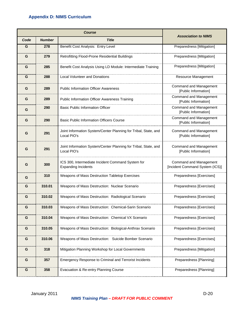| <b>Course</b> |               |                                                                                 | <b>Association to NIMS</b>                                |
|---------------|---------------|---------------------------------------------------------------------------------|-----------------------------------------------------------|
| Code          | <b>Number</b> | <b>Title</b>                                                                    |                                                           |
| G             | 278           | Benefit Cost Analysis: Entry Level                                              | Preparedness [Mitigation]                                 |
| G             | 279           | Retrofitting Flood-Prone Residential Buildings                                  | Preparedness [Mitigation]                                 |
| G             | 285           | Benefit Cost Analysis Using LD Module: Intermediate Training                    | Preparedness [Mitigation]                                 |
| G             | 288           | <b>Local Volunteer and Donations</b>                                            | Resource Management                                       |
| G             | 289           | <b>Public Information Officer Awareness</b>                                     | Command and Management<br>[Public Information]            |
| G             | 289           | <b>Public Information Officer Awareness Training</b>                            | Command and Management<br>[Public Information]            |
| G             | 290           | <b>Basic Public Information Officer</b>                                         | Command and Management<br>[Public Information]            |
| G             | 290           | <b>Basic Public Information Officers Course</b>                                 | Command and Management<br>[Public Information]            |
| G             | 291           | Joint Information System/Center Planning for Tribal, State, and<br>Local PIO's  | Command and Management<br>[Public Information]            |
| G             | 291           | Joint Information System/Center Planning for Tribal, State, and<br>Local PIO's  | Command and Management<br>[Public Information]            |
| G             | 300           | ICS 300, Intermediate Incident Command System for<br><b>Expanding Incidents</b> | Command and Management<br>[Incident Command System (ICS)] |
| G             | 310           | Weapons of Mass Destruction Tabletop Exercises                                  | Preparedness [Exercises]                                  |
| G             | 310.01        | Weapons of Mass Destruction: Nuclear Scenario                                   | Preparedness [Exercises]                                  |
| G             | 310.02        | Weapons of Mass Destruction: Radiological Scenario                              | Preparedness [Exercises]                                  |
| G             | 310.03        | Weapons of Mass Destruction: Chemical-Sarin Scenario                            | Preparedness [Exercises]                                  |
| G             | 310.04        | Weapons of Mass Destruction: Chemical VX Scenario                               | Preparedness [Exercises]                                  |
| G             | 310.05        | Weapons of Mass Destruction: Biological-Anthrax Scenario                        | Preparedness [Exercises]                                  |
| G             | 310.06        | Weapons of Mass Destruction: Suicide Bomber Scenario                            | Preparedness [Exercises]                                  |
| G             | 318           | Mitigation Planning Workshop for Local Governments                              | Preparedness [Mitigation]                                 |
| G             | 357           | Emergency Response to Criminal and Terrorist Incidents                          | Preparedness [Planning]                                   |
| G             | 358           | Evacuation & Re-entry Planning Course                                           | Preparedness [Planning]                                   |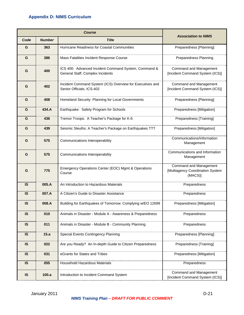|           |               | <b>Association to NIMS</b>                                                               |                                                                      |
|-----------|---------------|------------------------------------------------------------------------------------------|----------------------------------------------------------------------|
| Code      | <b>Number</b> | <b>Title</b>                                                                             |                                                                      |
| G         | 363           | Hurricane Readiness for Coastal Communities                                              | Preparedness [Planning]                                              |
| G         | 386           | Mass Fatalities Incident Response Course                                                 | Preparedness Planning                                                |
| G         | 400           | ICS 400: Advanced Incident Command System, Command &<br>General Staff, Complex Incidents | Command and Management<br>[Incident Command System (ICS)]            |
| G         | 402           | Incident Command System (ICS) Overview for Executives and<br>Senior Officials, ICS-402   | Command and Management<br>[Incident Command System (ICS)]            |
| G         | 408           | Homeland Security Planning for Local Governments                                         | Preparedness [Planning]                                              |
| G         | 434.A         | Earthquake: Safety Program for Schools                                                   | Preparedness [Mitigation]                                            |
| G         | 436           | Tremor Troops: A Teacher's Package for K-6                                               | Preparedness [Training]                                              |
| G         | 439           | Seismic Sleuths: A Teacher's Package on Earthquakes TTT                                  | Preparedness [Mitigation]                                            |
| G         | 575           | Communications Interoperability                                                          | Communications/Information<br>Management                             |
| G         | 575           | Communications Interoperability                                                          | Communications and Information<br>Management                         |
| G         | 775           | Emergency Operations Center (EOC) Mgmt & Operations<br>Course                            | Command and Management<br>[Multiagency Coordination System<br>(MACS) |
| <b>IS</b> | 005.A         | An Introduction to Hazardous Materials                                                   | Preparedness                                                         |
| <b>IS</b> | 007.A         | A Citizen's Guide to Disaster Assistance                                                 | Preparedness                                                         |
| IS        | 008.A         | Building for Earthquakes of Tomorrow: Complying w/EO 12699                               | Preparedness [Mitigation]                                            |
| <b>IS</b> | 010           | Animals in Disaster - Module A - Awareness & Preparedness                                | Preparedness                                                         |
| <b>IS</b> | 011           | Animals in Disaster - Module B - Community Planning                                      | Preparedness                                                         |
| <b>IS</b> | 15.a          | Special Events Contingency Planning                                                      | Preparedness [Planning]                                              |
| <b>IS</b> | 022           | Are you Ready? An In-depth Guide to Citizen Preparedness                                 | Preparedness [Training]                                              |
| <b>IS</b> | 031           | eGrants for States and Tribes                                                            | Preparedness [Mitigation]                                            |
| <b>IS</b> | 055           | <b>Household Hazardous Materials</b>                                                     | Preparedness                                                         |
| <b>IS</b> | 100.a         | Introduction to Incident Command System                                                  | Command and Management<br>[Incident Command System (ICS)]            |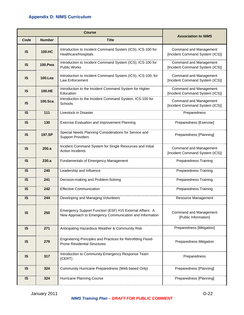| <b>Course</b> |                |                                                                                                                     | <b>Association to NIMS</b>                                |
|---------------|----------------|---------------------------------------------------------------------------------------------------------------------|-----------------------------------------------------------|
| Code          | <b>Number</b>  | <b>Title</b>                                                                                                        |                                                           |
| <b>IS</b>     | 100.HC         | Introduction to Incident Command System (ICS), ICS-100 for<br>Healthcare/Hospitals                                  | Command and Management<br>[Incident Command System (ICS)] |
| <b>IS</b>     | 100.Pwa        | Introduction to Incident Command System (ICS), ICS-100 for<br><b>Public Works</b>                                   | Command and Management<br>[Incident Command System (ICS)] |
| <b>IS</b>     | <b>100.Lea</b> | Introduction to Incident Command System (ICS), ICS-100, for<br><b>Law Enforcement</b>                               | Command and Management<br>[Incident Command System (ICS)] |
| <b>IS</b>     | 100.HE         | Introduction to the Incident Command System for Higher<br>Education                                                 | Command and Management<br>[Incident Command System (ICS)] |
| <b>IS</b>     | <b>100.Sca</b> | Introduction to the Incident Command System, ICS-100 for<br><b>Schools</b>                                          | Command and Management<br>[Incident Command System (ICS)] |
| <b>IS</b>     | 111            | Livestock in Disaster                                                                                               | Preparedness                                              |
| IS            | 130            | <b>Exercise Evaluation and Improvement Planning</b>                                                                 | Preparedness [Exercise]                                   |
| <b>IS</b>     | 197.SP         | Special Needs Planning Considerations for Service and<br><b>Support Providers</b>                                   | Preparedness [Planning]                                   |
| <b>IS</b>     | 200.a          | Incident Command System for Single Resources and Initial<br><b>Action Incidents</b>                                 | Command and Management<br>[Incident Command System (ICS)] |
| IS            | 230.a          | Fundamentals of Emergency Management                                                                                | Preparedness Training                                     |
| <b>IS</b>     | 240            | Leadership and Influence                                                                                            | Preparedness Training                                     |
| IS            | 241            | Decision-making and Problem-Solving                                                                                 | <b>Preparedness Training</b>                              |
| <b>IS</b>     | 242            | <b>Effective Communication</b>                                                                                      | <b>Preparedness Training</b>                              |
| IS            | 244            | Developing and Managing Volunteers                                                                                  | Resource Management                                       |
| <b>IS</b>     | 250            | Emergency Support Function (ESF) #15 External Affairs: A<br>New Approach to Emergency Communication and Information | Command and Management<br>[Public Information]            |
| IS            | 271            | Anticipating Hazardous Weather & Community Risk                                                                     | Preparedness [Mitigation]                                 |
| <b>IS</b>     | 279            | Engineering Principles and Practices for Retrofitting Flood-<br><b>Prone Residential Structures</b>                 | Preparedness Mitigation                                   |
| <b>IS</b>     | 317            | Introduction to Community Emergency Response Team<br>(CERT)                                                         | Preparedness                                              |
| IS            | 324            | Community Hurricane Preparedness (Web based Only)                                                                   | Preparedness [Planning]                                   |
| <b>IS</b>     | 324            | Hurricane Planning Course                                                                                           | Preparedness [Planning]                                   |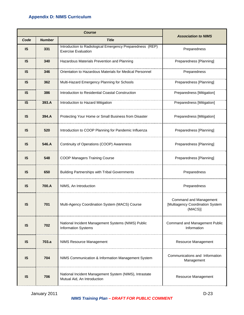|           |               | <b>Association to NIMS</b>                                                              |                                                                       |
|-----------|---------------|-----------------------------------------------------------------------------------------|-----------------------------------------------------------------------|
| Code      | <b>Number</b> | <b>Title</b>                                                                            |                                                                       |
| <b>IS</b> | 331           | Introduction to Radiological Emergency Preparedness (REP)<br><b>Exercise Evaluation</b> | Preparedness                                                          |
| IS        | 340           | Hazardous Materials Prevention and Planning                                             | Preparedness [Planning]                                               |
| <b>IS</b> | 346           | Orientation to Hazardous Materials for Medical Personnel                                | Preparedness                                                          |
| IS        | 362           | Multi-Hazard Emergency Planning for Schools                                             | Preparedness [Planning]                                               |
| <b>IS</b> | 386           | Introduction to Residential Coastal Construction                                        | Preparedness [Mitigation]                                             |
| <b>IS</b> | 393.A         | Introduction to Hazard Mitigation                                                       | Preparedness [Mitigation]                                             |
| <b>IS</b> | 394.A         | Protecting Your Home or Small Business from Disaster                                    | Preparedness [Mitigation]                                             |
| <b>IS</b> | 520           | Introduction to COOP Planning for Pandemic Influenza                                    | Preparedness [Planning]                                               |
| <b>IS</b> | 546.A         | Continuity of Operations (COOP) Awareness                                               | Preparedness [Planning]                                               |
| IS        | 548           | <b>COOP Managers Training Course</b>                                                    | Preparedness [Planning]                                               |
| IS        | 650           | <b>Building Partnerships with Tribal Governments</b>                                    | Preparedness                                                          |
| <b>IS</b> | 700.A         | NIMS, An Introduction                                                                   | Preparedness                                                          |
| <b>IS</b> | 701           | Multi-Agency Coordination System (MACS) Course                                          | Command and Management<br>[Multiagency Coordination System<br>(MACS)] |
| <b>IS</b> | 702           | National Incident Management Systems (NIMS) Public<br><b>Information Systems</b>        | Command and Management Public<br>Information                          |
| IS        | 703.a         | <b>NIMS Resource Management</b>                                                         | Resource Management                                                   |
| <b>IS</b> | 704           | NIMS Communication & Information Management System                                      | Communications and Information<br>Management                          |
| <b>IS</b> | 706           | National Incident Management System (NIMS), Intrastate<br>Mutual Aid, An Introduction   | Resource Management                                                   |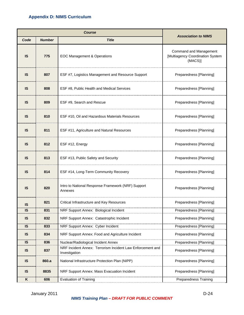| <b>Course</b> |               |                                                                             |                                                                       |
|---------------|---------------|-----------------------------------------------------------------------------|-----------------------------------------------------------------------|
| Code          | <b>Number</b> | <b>Title</b>                                                                | <b>Association to NIMS</b>                                            |
| <b>IS</b>     | 775           | <b>EOC Management &amp; Operations</b>                                      | Command and Management<br>[Multiagency Coordination System<br>(MACS)] |
| IS            | 807           | ESF #7, Logistics Management and Resource Support                           | Preparedness [Planning]                                               |
| <b>IS</b>     | 808           | ESF #8, Public Health and Medical Services                                  | Preparedness [Planning]                                               |
| <b>IS</b>     | 809           | ESF #9, Search and Rescue                                                   | Preparedness [Planning]                                               |
| <b>IS</b>     | 810           | ESF #10, Oil and Hazardous Materials Resources                              | Preparedness [Planning]                                               |
| <b>IS</b>     | 811           | ESF #11, Agriculture and Natural Resources                                  | Preparedness [Planning]                                               |
| IS            | 812           | ESF #12, Energy                                                             | Preparedness [Planning]                                               |
| IS            | 813           | ESF #13, Public Safety and Security                                         | Preparedness [Planning]                                               |
| <b>IS</b>     | 814           | ESF #14, Long-Term Community Recovery                                       | Preparedness [Planning]                                               |
| <b>IS</b>     | 820           | Intro to National Response Framework (NRF) Support<br>Annexes               | Preparedness [Planning]                                               |
| <b>IS</b>     | 821           | Critical Infrastructure and Key Resources                                   | Preparedness [Planning]                                               |
| IS            | 831           | NRF Support Annex: Biological Incident                                      | Preparedness [Planning]                                               |
| IS            | 832           | NRF Support Annex: Catastrophic Incident                                    | Preparedness [Planning]                                               |
| <b>IS</b>     | 833           | NRF Support Annex: Cyber Incident                                           | Preparedness [Planning]                                               |
| IS            | 834           | NRF Support Annex: Food and Agriculture Incident                            | Preparedness [Planning]                                               |
| <b>IS</b>     | 836           | Nuclear/Radiological Incident Annex                                         | Preparedness [Planning]                                               |
| <b>IS</b>     | 837           | NRF Incident Annex: Terrorism Incident Law Enforcement and<br>Investigation | Preparedness [Planning]                                               |
| <b>IS</b>     | 860.a         | National Infrastructure Protection Plan (NIPP)                              | Preparedness [Planning]                                               |
| <b>IS</b>     | 8835          | NRF Support Annex: Mass Evacuation Incident                                 | Preparedness [Planning]                                               |
| K             | 606           | <b>Evaluation of Training</b>                                               | <b>Preparedness Training</b>                                          |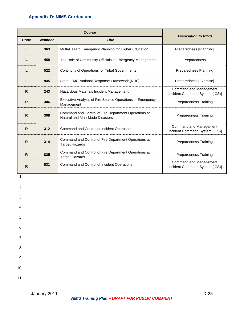|              |               | <b>Association to NIMS</b>                                                             |                                                           |
|--------------|---------------|----------------------------------------------------------------------------------------|-----------------------------------------------------------|
| Code         | <b>Number</b> | <b>Title</b>                                                                           |                                                           |
| L            | 363           | Multi-Hazard Emergency Planning for Higher Education                                   | Preparedness [Planning]                                   |
|              | 460           | The Role of Community Officials in Emergency Management                                | Preparedness                                              |
|              | 522           | <b>Continuity of Operations for Tribal Governments</b>                                 | Preparedness Planning                                     |
| $\mathbf{I}$ | 945           | State IEMC National Response Framework (NRF)                                           | Preparedness [Exercise]                                   |
| R.           | 243           | Hazardous Materials Incident Management                                                | Command and Management<br>[Incident Command System (ICS)] |
| $\mathsf{R}$ | 306           | Executive Analysis of Fire Service Operations in Emergency<br>Management               | <b>Preparedness Training</b>                              |
| R.           | 308           | Command and Control of Fire Department Operations at<br>Natural and Man-Made Disasters | <b>Preparedness Training</b>                              |
| $\mathsf{R}$ | 312           | Command and Control of Incident Operations                                             | Command and Management<br>[Incident Command System (ICS)] |
| R.           | 314           | Command and Control of Fire Department Operations at<br><b>Target Hazards</b>          | <b>Preparedness Training</b>                              |
| $\mathsf{R}$ | 825           | Command and Control of Fire Department Operations at<br><b>Target Hazards</b>          | <b>Preparedness Training</b>                              |
| $\mathsf{R}$ | 831           | Command and Control of Incident Operations                                             | Command and Management<br>[Incident Command System (ICS)] |

1

3

4

5

6

7

8

9

10